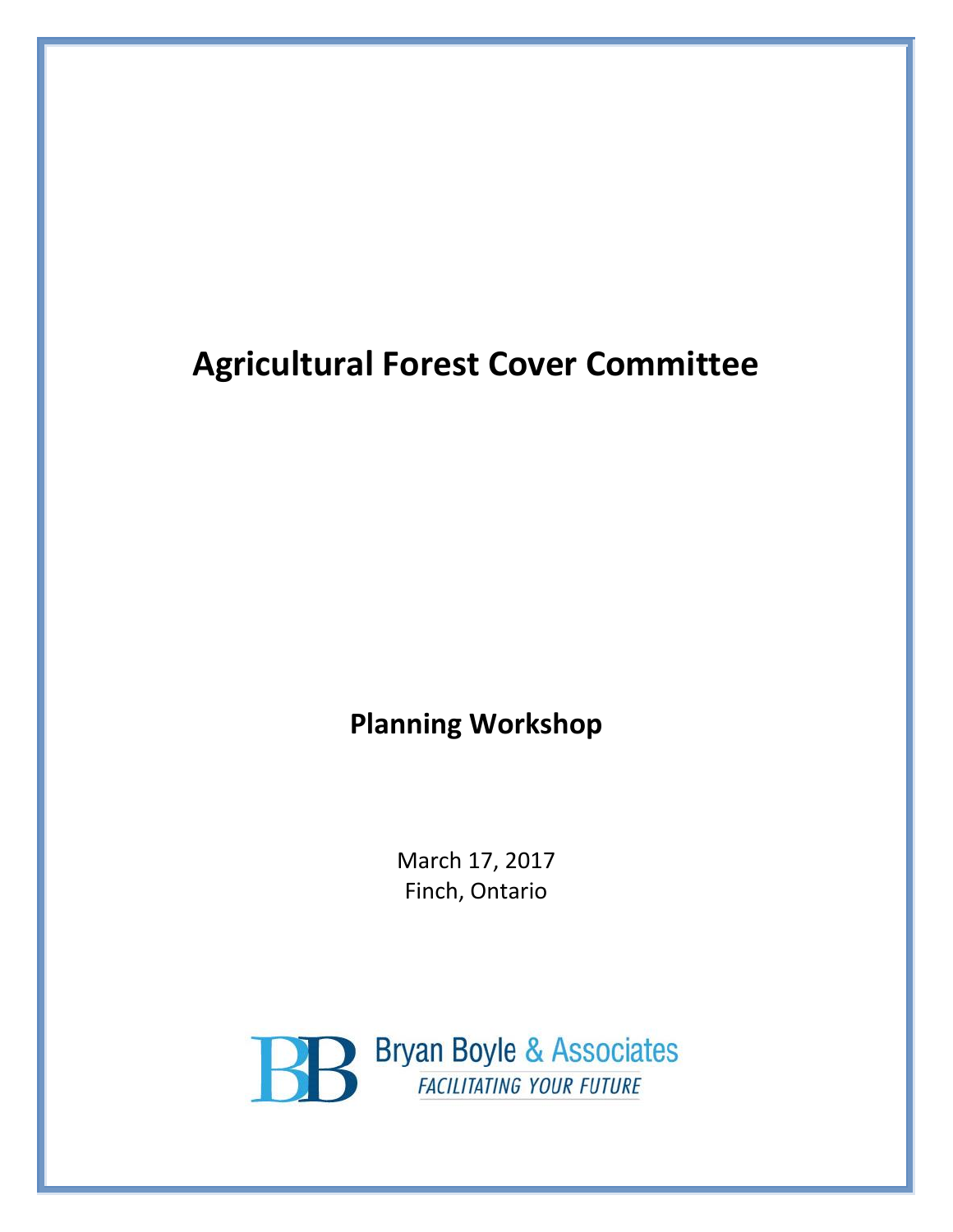# **Agricultural Forest Cover Committee**

## **Planning Workshop**

March 17, 2017 Finch, Ontario

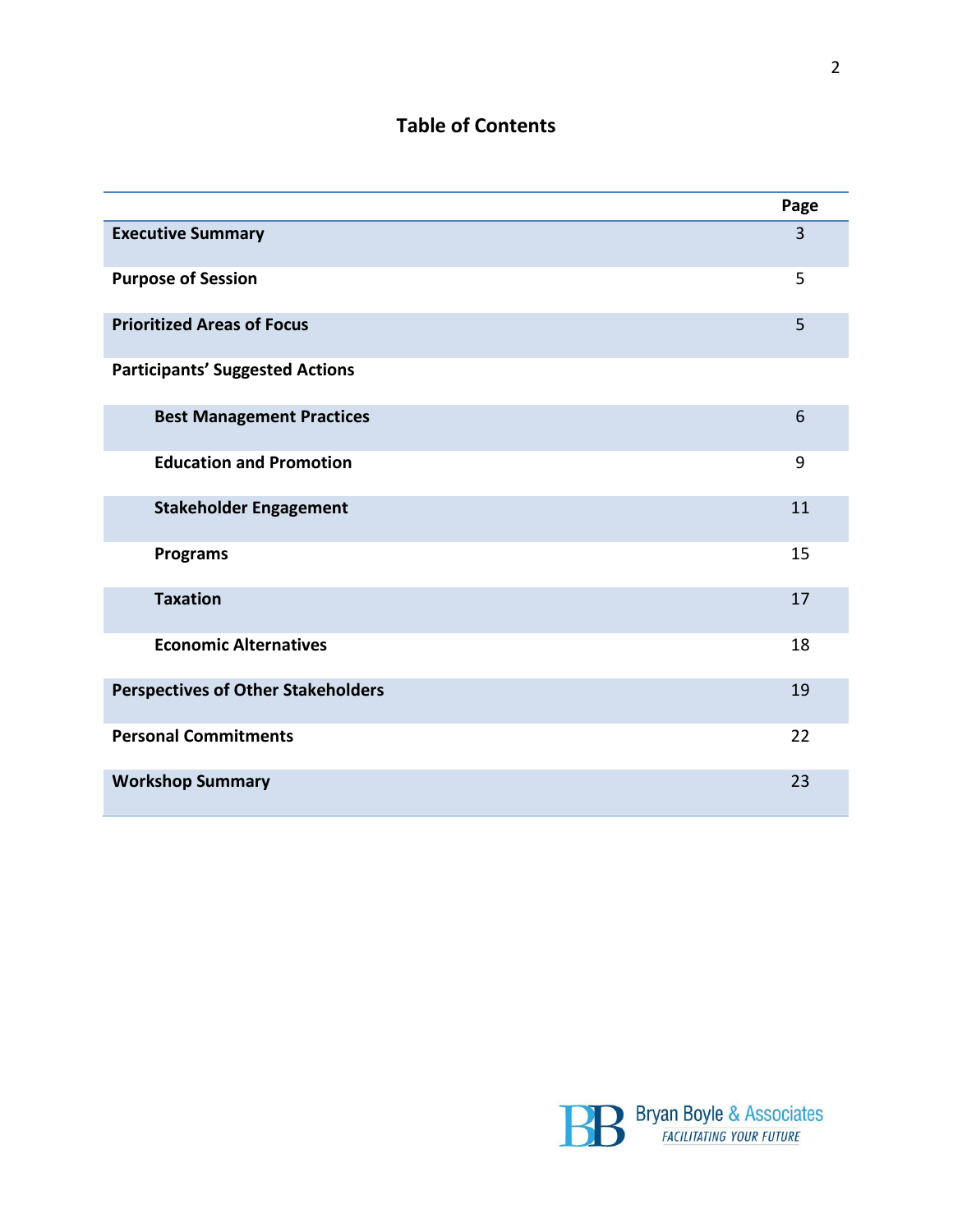### **Table of Contents**

|                                           | Page           |
|-------------------------------------------|----------------|
| <b>Executive Summary</b>                  | $\overline{3}$ |
| <b>Purpose of Session</b>                 | 5              |
| <b>Prioritized Areas of Focus</b>         | 5              |
| <b>Participants' Suggested Actions</b>    |                |
| <b>Best Management Practices</b>          | 6              |
| <b>Education and Promotion</b>            | 9              |
| <b>Stakeholder Engagement</b>             | 11             |
| <b>Programs</b>                           | 15             |
| <b>Taxation</b>                           | 17             |
| <b>Economic Alternatives</b>              | 18             |
| <b>Perspectives of Other Stakeholders</b> | 19             |
| <b>Personal Commitments</b>               | 22             |
| <b>Workshop Summary</b>                   | 23             |



2

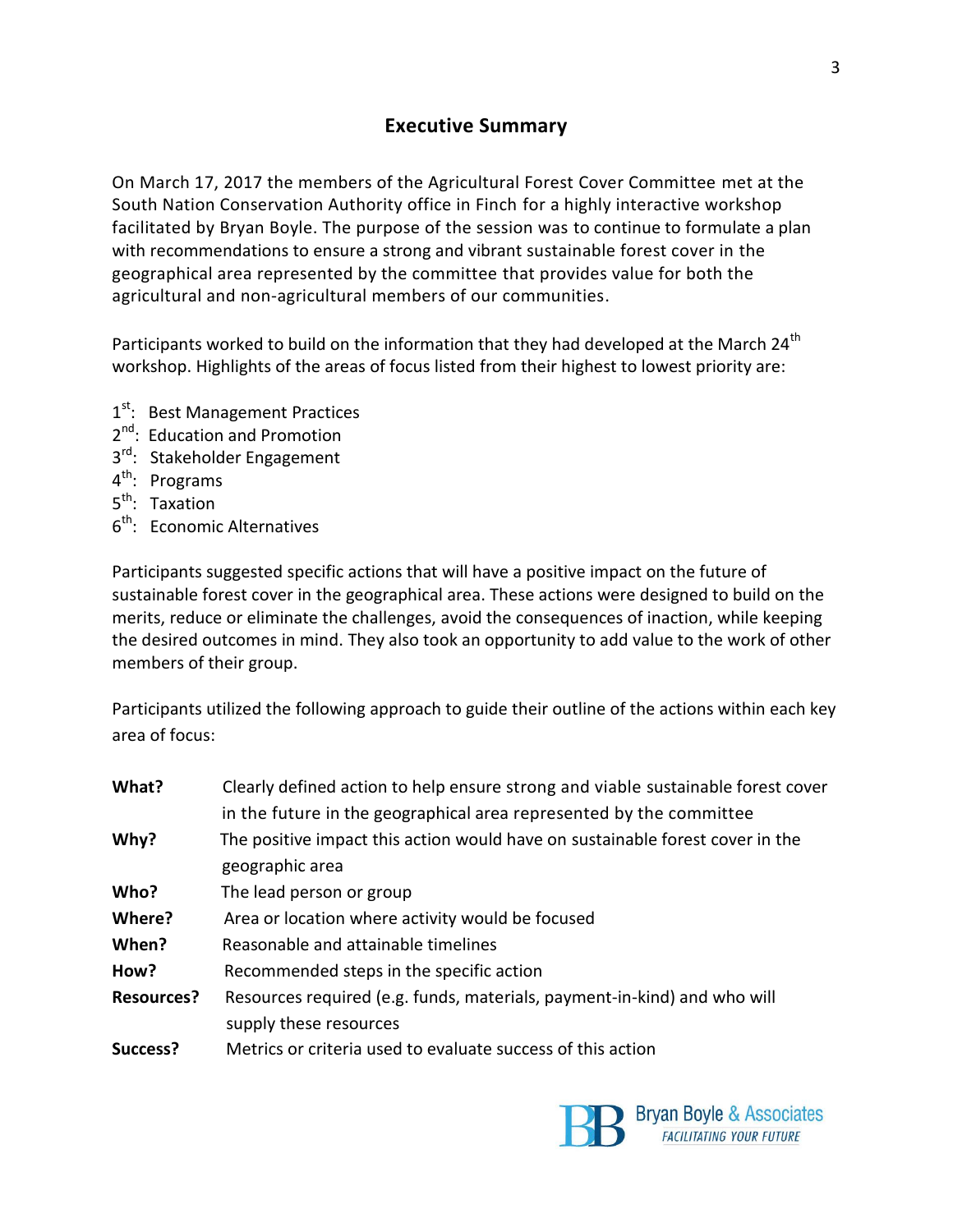#### **Executive Summary**

On March 17, 2017 the members of the Agricultural Forest Cover Committee met at the South Nation Conservation Authority office in Finch for a highly interactive workshop facilitated by Bryan Boyle. The purpose of the session was to continue to formulate a plan with recommendations to ensure a strong and vibrant sustainable forest cover in the geographical area represented by the committee that provides value for both the agricultural and non-agricultural members of our communities.

Participants worked to build on the information that they had developed at the March 24<sup>th</sup> workshop. Highlights of the areas of focus listed from their highest to lowest priority are:

- 1<sup>st</sup>: Best Management Practices
- 2<sup>nd</sup>: Education and Promotion
- 3<sup>rd</sup>: Stakeholder Engagement
- 4<sup>th</sup>: Programs
- 5<sup>th</sup>: Taxation
- 6<sup>th</sup>: Economic Alternatives

Participants suggested specific actions that will have a positive impact on the future of sustainable forest cover in the geographical area. These actions were designed to build on the merits, reduce or eliminate the challenges, avoid the consequences of inaction, while keeping the desired outcomes in mind. They also took an opportunity to add value to the work of other members of their group.

Participants utilized the following approach to guide their outline of the actions within each key area of focus:

| What?             | Clearly defined action to help ensure strong and viable sustainable forest cover |
|-------------------|----------------------------------------------------------------------------------|
|                   | in the future in the geographical area represented by the committee              |
| Why?              | The positive impact this action would have on sustainable forest cover in the    |
|                   | geographic area                                                                  |
| Who?              | The lead person or group                                                         |
| Where?            | Area or location where activity would be focused                                 |
| When?             | Reasonable and attainable timelines                                              |
| How?              | Recommended steps in the specific action                                         |
| <b>Resources?</b> | Resources required (e.g. funds, materials, payment-in-kind) and who will         |
|                   | supply these resources                                                           |
| Success?          | Metrics or criteria used to evaluate success of this action                      |
|                   |                                                                                  |

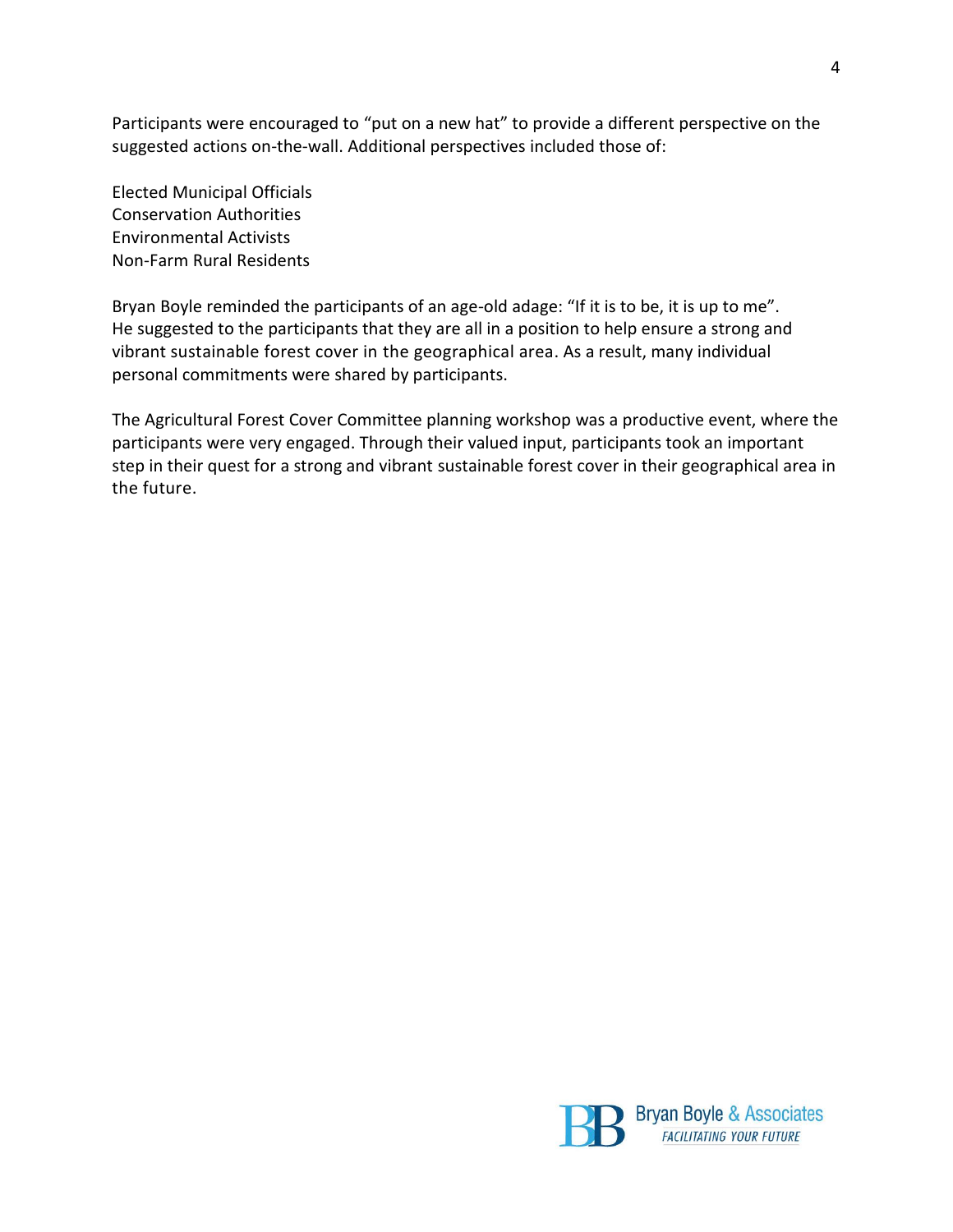Participants were encouraged to "put on a new hat" to provide a different perspective on the suggested actions on-the-wall. Additional perspectives included those of:

Elected Municipal Officials Conservation Authorities Environmental Activists Non-Farm Rural Residents

Bryan Boyle reminded the participants of an age-old adage: "If it is to be, it is up to me". He suggested to the participants that they are all in a position to help ensure a strong and vibrant sustainable forest cover in the geographical area. As a result, many individual personal commitments were shared by participants.

The Agricultural Forest Cover Committee planning workshop was a productive event, where the participants were very engaged. Through their valued input, participants took an important step in their quest for a strong and vibrant sustainable forest cover in their geographical area in the future.

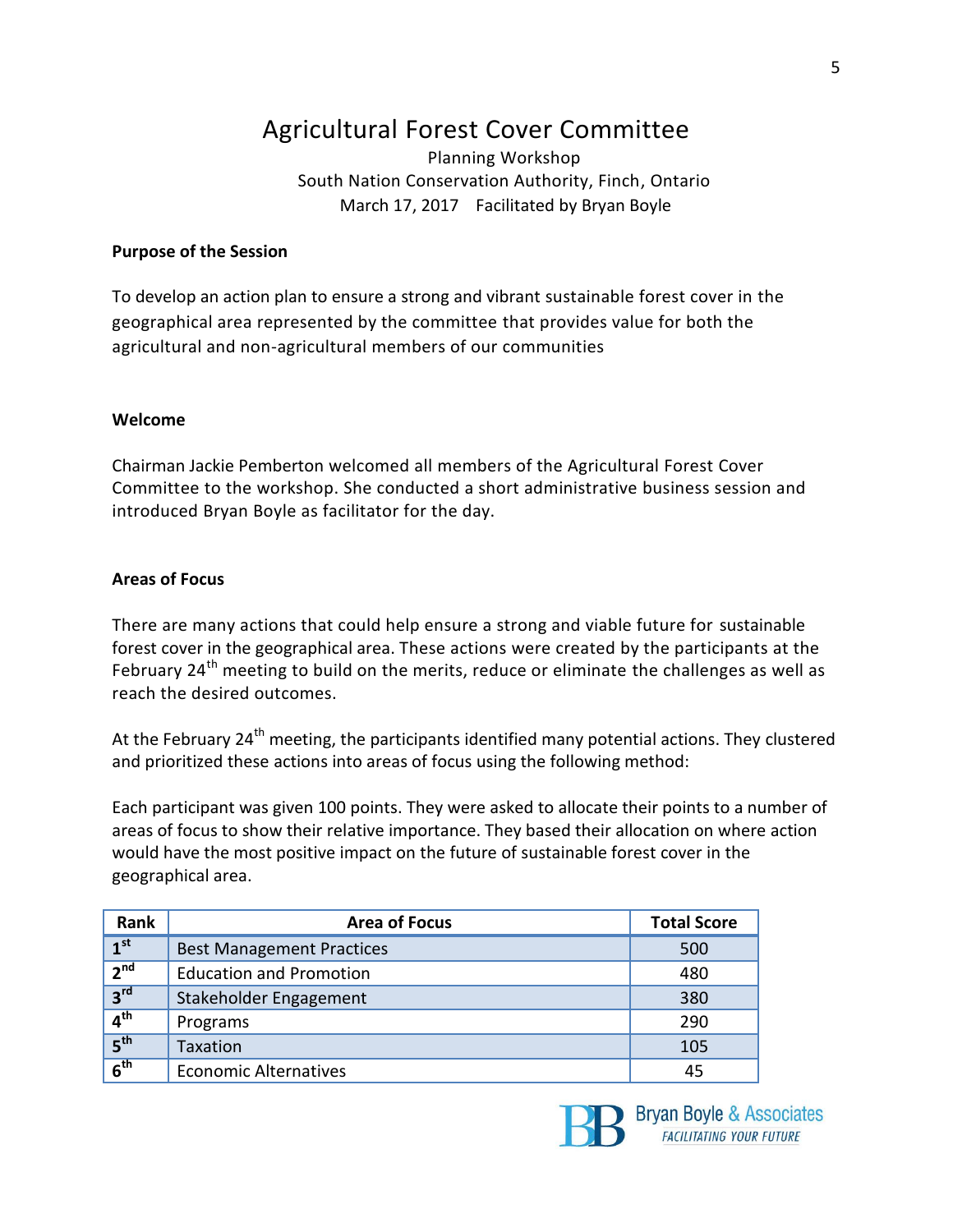## Agricultural Forest Cover Committee

Planning Workshop South Nation Conservation Authority, Finch, Ontario March 17, 2017 Facilitated by Bryan Boyle

#### **Purpose of the Session**

To develop an action plan to ensure a strong and vibrant sustainable forest cover in the geographical area represented by the committee that provides value for both the agricultural and non-agricultural members of our communities

#### **Welcome**

Chairman Jackie Pemberton welcomed all members of the Agricultural Forest Cover Committee to the workshop. She conducted a short administrative business session and introduced Bryan Boyle as facilitator for the day.

#### **Areas of Focus**

There are many actions that could help ensure a strong and viable future for sustainable forest cover in the geographical area. These actions were created by the participants at the February 24<sup>th</sup> meeting to build on the merits, reduce or eliminate the challenges as well as reach the desired outcomes.

At the February 24<sup>th</sup> meeting, the participants identified many potential actions. They clustered and prioritized these actions into areas of focus using the following method:

Each participant was given 100 points. They were asked to allocate their points to a number of areas of focus to show their relative importance. They based their allocation on where action would have the most positive impact on the future of sustainable forest cover in the geographical area.

| Rank            | <b>Area of Focus</b>             | <b>Total Score</b> |
|-----------------|----------------------------------|--------------------|
| 1 <sup>st</sup> | <b>Best Management Practices</b> | 500                |
| 2 <sup>nd</sup> | <b>Education and Promotion</b>   | 480                |
| 3 <sup>rd</sup> | Stakeholder Engagement           | 380                |
| 4 <sup>th</sup> | Programs                         | 290                |
| 5 <sup>th</sup> | <b>Taxation</b>                  | 105                |
| 6 <sup>th</sup> | <b>Economic Alternatives</b>     | 45                 |



Bryan Boyle & Associates **FACILITATING YOUR FUTURE**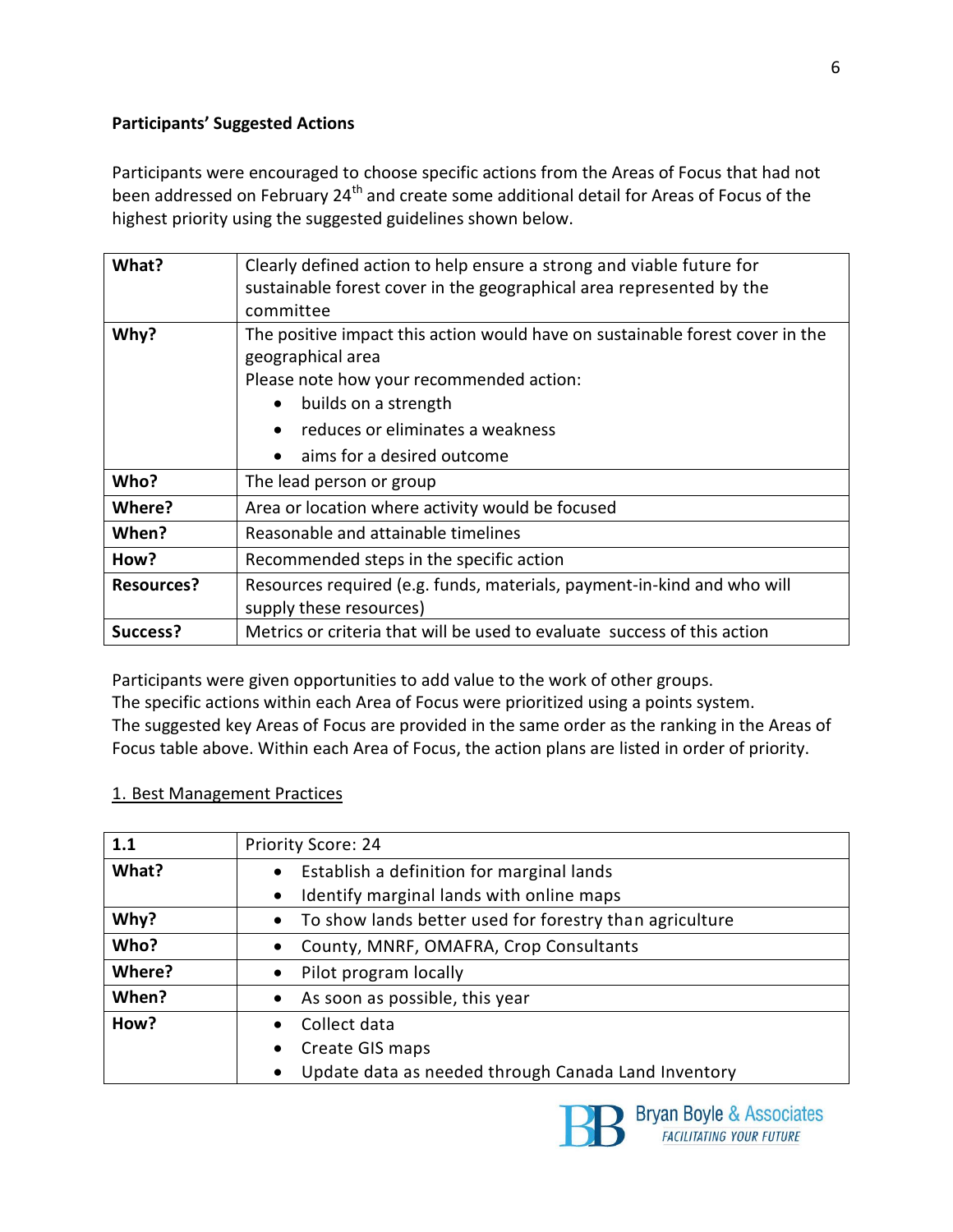#### **Participants' Suggested Actions**

Participants were encouraged to choose specific actions from the Areas of Focus that had not been addressed on February 24<sup>th</sup> and create some additional detail for Areas of Focus of the highest priority using the suggested guidelines shown below.

| What?             | Clearly defined action to help ensure a strong and viable future for          |
|-------------------|-------------------------------------------------------------------------------|
|                   | sustainable forest cover in the geographical area represented by the          |
|                   | committee                                                                     |
| Why?              | The positive impact this action would have on sustainable forest cover in the |
|                   | geographical area                                                             |
|                   | Please note how your recommended action:                                      |
|                   | builds on a strength<br>$\bullet$                                             |
|                   | reduces or eliminates a weakness<br>$\bullet$                                 |
|                   | aims for a desired outcome<br>$\bullet$                                       |
| Who?              | The lead person or group                                                      |
| Where?            | Area or location where activity would be focused                              |
| When?             | Reasonable and attainable timelines                                           |
| How?              | Recommended steps in the specific action                                      |
| <b>Resources?</b> | Resources required (e.g. funds, materials, payment-in-kind and who will       |
|                   | supply these resources)                                                       |
| Success?          | Metrics or criteria that will be used to evaluate success of this action      |

Participants were given opportunities to add value to the work of other groups.

The specific actions within each Area of Focus were prioritized using a points system.

The suggested key Areas of Focus are provided in the same order as the ranking in the Areas of Focus table above. Within each Area of Focus, the action plans are listed in order of priority.

#### 1. Best Management Practices

| 1.1    | Priority Score: 24                                               |
|--------|------------------------------------------------------------------|
| What?  | Establish a definition for marginal lands<br>$\bullet$           |
|        | Identify marginal lands with online maps<br>$\bullet$            |
| Why?   | • To show lands better used for forestry than agriculture        |
| Who?   | County, MNRF, OMAFRA, Crop Consultants<br>٠                      |
| Where? | Pilot program locally<br>$\bullet$                               |
| When?  | As soon as possible, this year<br>$\bullet$                      |
| How?   | Collect data<br>$\bullet$                                        |
|        | Create GIS maps<br>$\bullet$                                     |
|        | Update data as needed through Canada Land Inventory<br>$\bullet$ |



Bryan Boyle & Associates FACILITATING YOUR FUTURE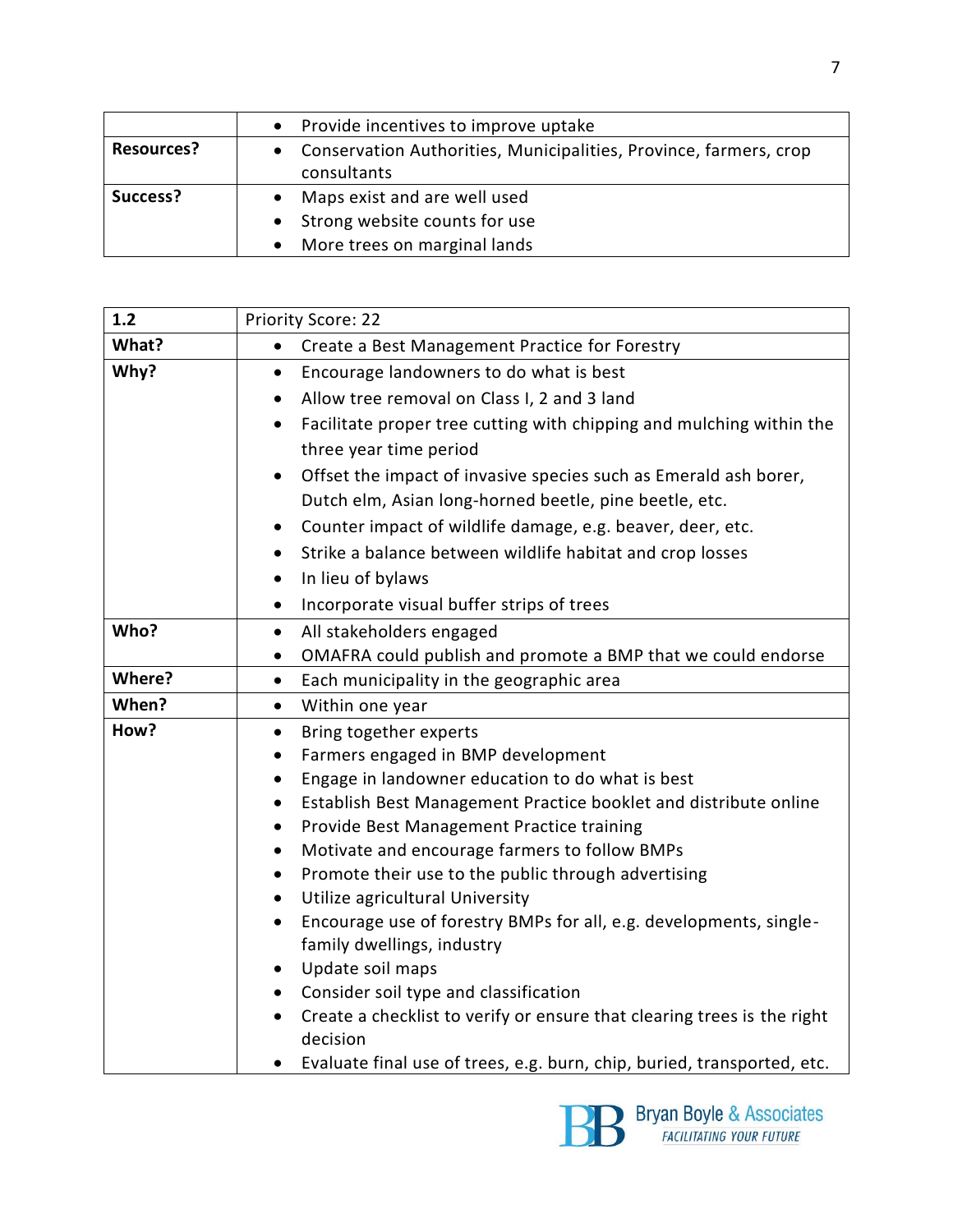|                   | • Provide incentives to improve uptake                              |
|-------------------|---------------------------------------------------------------------|
| <b>Resources?</b> | • Conservation Authorities, Municipalities, Province, farmers, crop |
|                   | consultants                                                         |
| Success?          | • Maps exist and are well used                                      |
|                   | • Strong website counts for use                                     |
|                   | • More trees on marginal lands                                      |

| 1.2    | <b>Priority Score: 22</b>                                                                                        |
|--------|------------------------------------------------------------------------------------------------------------------|
| What?  | Create a Best Management Practice for Forestry<br>$\bullet$                                                      |
| Why?   | Encourage landowners to do what is best<br>$\bullet$                                                             |
|        | Allow tree removal on Class I, 2 and 3 land<br>$\bullet$                                                         |
|        | Facilitate proper tree cutting with chipping and mulching within the<br>$\bullet$                                |
|        | three year time period                                                                                           |
|        | Offset the impact of invasive species such as Emerald ash borer,<br>$\bullet$                                    |
|        | Dutch elm, Asian long-horned beetle, pine beetle, etc.                                                           |
|        | Counter impact of wildlife damage, e.g. beaver, deer, etc.<br>$\bullet$                                          |
|        | Strike a balance between wildlife habitat and crop losses<br>$\bullet$                                           |
|        | In lieu of bylaws<br>$\bullet$                                                                                   |
|        | Incorporate visual buffer strips of trees<br>$\bullet$                                                           |
| Who?   | All stakeholders engaged<br>$\bullet$                                                                            |
|        | OMAFRA could publish and promote a BMP that we could endorse<br>$\bullet$                                        |
| Where? | Each municipality in the geographic area<br>$\bullet$                                                            |
| When?  | Within one year<br>$\bullet$                                                                                     |
| How?   | Bring together experts<br>$\bullet$                                                                              |
|        | Farmers engaged in BMP development<br>$\bullet$                                                                  |
|        | Engage in landowner education to do what is best<br>$\bullet$                                                    |
|        | Establish Best Management Practice booklet and distribute online<br>$\bullet$                                    |
|        | Provide Best Management Practice training<br>$\bullet$                                                           |
|        | Motivate and encourage farmers to follow BMPs<br>$\bullet$                                                       |
|        | Promote their use to the public through advertising<br>$\bullet$<br>Utilize agricultural University<br>$\bullet$ |
|        | Encourage use of forestry BMPs for all, e.g. developments, single-<br>$\bullet$                                  |
|        | family dwellings, industry                                                                                       |
|        | Update soil maps<br>$\bullet$                                                                                    |
|        | Consider soil type and classification<br>$\bullet$                                                               |
|        | Create a checklist to verify or ensure that clearing trees is the right                                          |
|        | decision                                                                                                         |
|        | Evaluate final use of trees, e.g. burn, chip, buried, transported, etc.                                          |

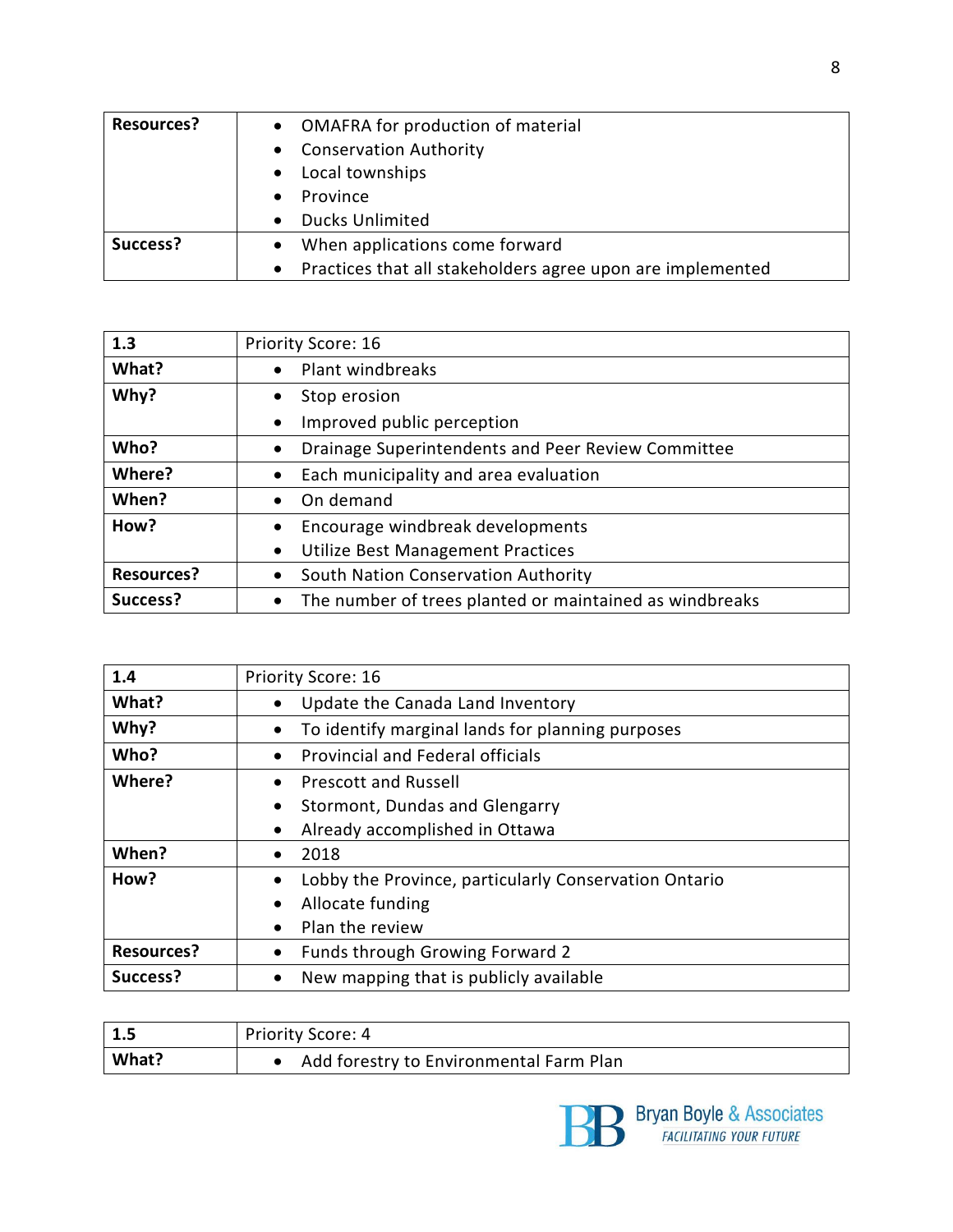| <b>Resources?</b> | • OMAFRA for production of material                                     |
|-------------------|-------------------------------------------------------------------------|
|                   | • Conservation Authority                                                |
|                   | Local townships                                                         |
|                   | Province                                                                |
|                   | <b>Ducks Unlimited</b>                                                  |
| Success?          | When applications come forward<br>$\bullet$                             |
|                   | Practices that all stakeholders agree upon are implemented<br>$\bullet$ |

| 1.3               | Priority Score: 16                                                   |
|-------------------|----------------------------------------------------------------------|
| What?             | Plant windbreaks<br>$\bullet$                                        |
| Why?              | Stop erosion<br>٠                                                    |
|                   | Improved public perception<br>$\bullet$                              |
| Who?              | Drainage Superintendents and Peer Review Committee<br>$\bullet$      |
| Where?            | Each municipality and area evaluation<br>$\bullet$                   |
| When?             | On demand<br>$\bullet$                                               |
| How?              | Encourage windbreak developments<br>٠                                |
|                   | Utilize Best Management Practices<br>$\bullet$                       |
| <b>Resources?</b> | South Nation Conservation Authority<br>$\bullet$                     |
| Success?          | The number of trees planted or maintained as windbreaks<br>$\bullet$ |

| 1.4               | <b>Priority Score: 16</b>                                     |
|-------------------|---------------------------------------------------------------|
| What?             | Update the Canada Land Inventory<br>$\bullet$                 |
| Why?              | To identify marginal lands for planning purposes<br>$\bullet$ |
| Who?              | <b>Provincial and Federal officials</b><br>$\bullet$          |
| Where?            | <b>Prescott and Russell</b><br>$\bullet$                      |
|                   | Stormont, Dundas and Glengarry<br>$\bullet$                   |
|                   | Already accomplished in Ottawa<br>$\bullet$                   |
| When?             | 2018<br>٠                                                     |
| How?              | Lobby the Province, particularly Conservation Ontario         |
|                   | Allocate funding<br>$\bullet$                                 |
|                   | Plan the review<br>$\bullet$                                  |
| <b>Resources?</b> | Funds through Growing Forward 2<br>٠                          |
| Success?          | New mapping that is publicly available<br>$\bullet$           |

| $\vert$ 1.5 | Priority Score: 4                       |
|-------------|-----------------------------------------|
| What?       | Add forestry to Environmental Farm Plan |

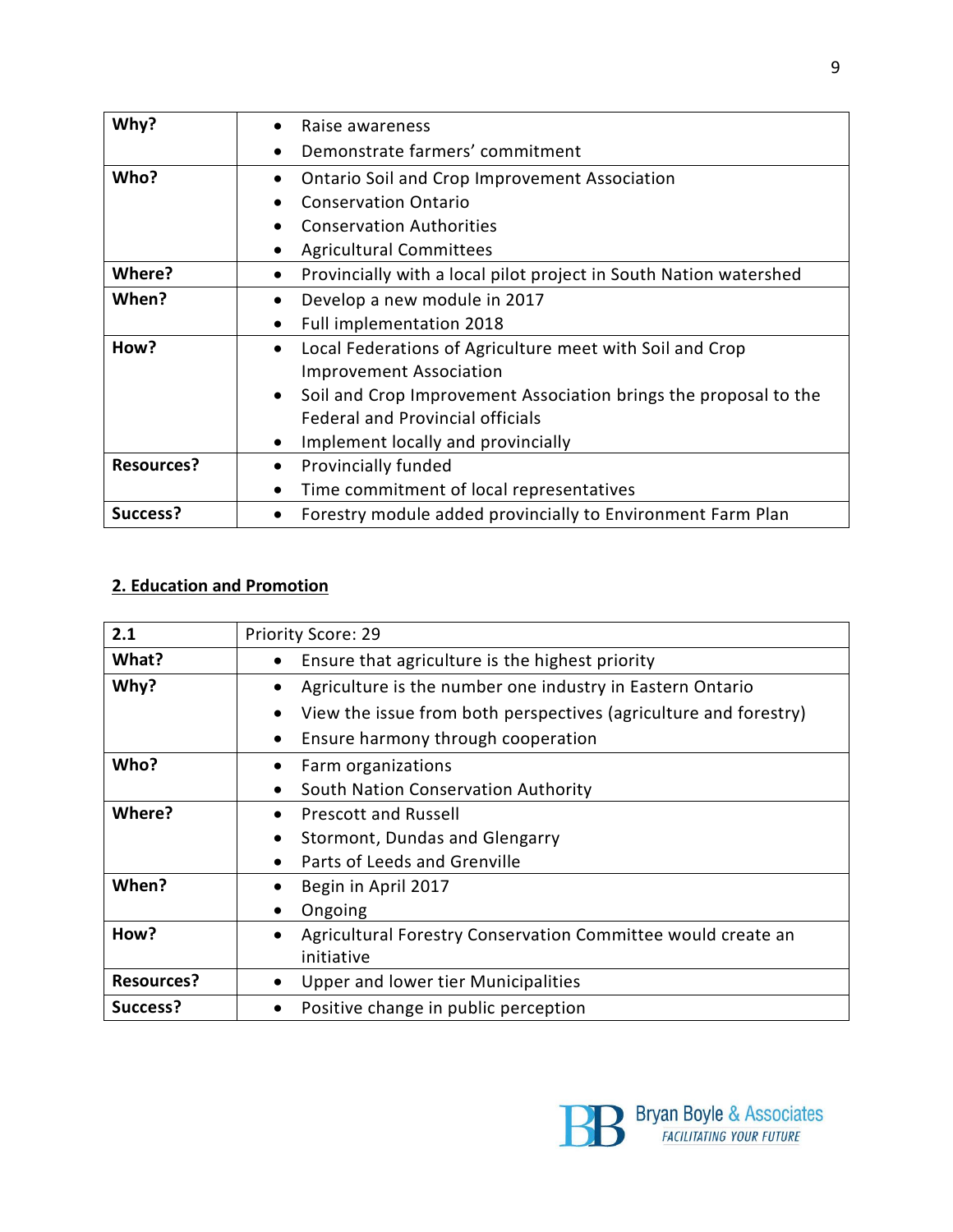| Why?              | Raise awareness                                                                |
|-------------------|--------------------------------------------------------------------------------|
|                   | Demonstrate farmers' commitment<br>$\bullet$                                   |
| Who?              | <b>Ontario Soil and Crop Improvement Association</b>                           |
|                   | <b>Conservation Ontario</b>                                                    |
|                   | <b>Conservation Authorities</b><br>$\bullet$                                   |
|                   | <b>Agricultural Committees</b><br>$\bullet$                                    |
| Where?            | Provincially with a local pilot project in South Nation watershed<br>$\bullet$ |
| When?             | Develop a new module in 2017                                                   |
|                   | Full implementation 2018<br>$\bullet$                                          |
| How?              | Local Federations of Agriculture meet with Soil and Crop<br>$\bullet$          |
|                   | <b>Improvement Association</b>                                                 |
|                   | Soil and Crop Improvement Association brings the proposal to the<br>$\bullet$  |
|                   | <b>Federal and Provincial officials</b>                                        |
|                   | Implement locally and provincially                                             |
| <b>Resources?</b> | Provincially funded<br>$\bullet$                                               |
|                   | Time commitment of local representatives<br>$\bullet$                          |
| Success?          | Forestry module added provincially to Environment Farm Plan                    |

### **2. Education and Promotion**

| 2.1               | <b>Priority Score: 29</b>                                                     |
|-------------------|-------------------------------------------------------------------------------|
| What?             | Ensure that agriculture is the highest priority<br>٠                          |
| Why?              | Agriculture is the number one industry in Eastern Ontario<br>$\bullet$        |
|                   | View the issue from both perspectives (agriculture and forestry)<br>$\bullet$ |
|                   | Ensure harmony through cooperation<br>$\bullet$                               |
| Who?              | Farm organizations                                                            |
|                   | South Nation Conservation Authority<br>$\bullet$                              |
| Where?            | <b>Prescott and Russell</b><br>$\bullet$                                      |
|                   | Stormont, Dundas and Glengarry<br>$\bullet$                                   |
|                   | Parts of Leeds and Grenville                                                  |
| When?             | Begin in April 2017                                                           |
|                   | Ongoing                                                                       |
| How?              | Agricultural Forestry Conservation Committee would create an<br>$\bullet$     |
|                   | initiative                                                                    |
| <b>Resources?</b> | Upper and lower tier Municipalities                                           |
| Success?          | Positive change in public perception                                          |

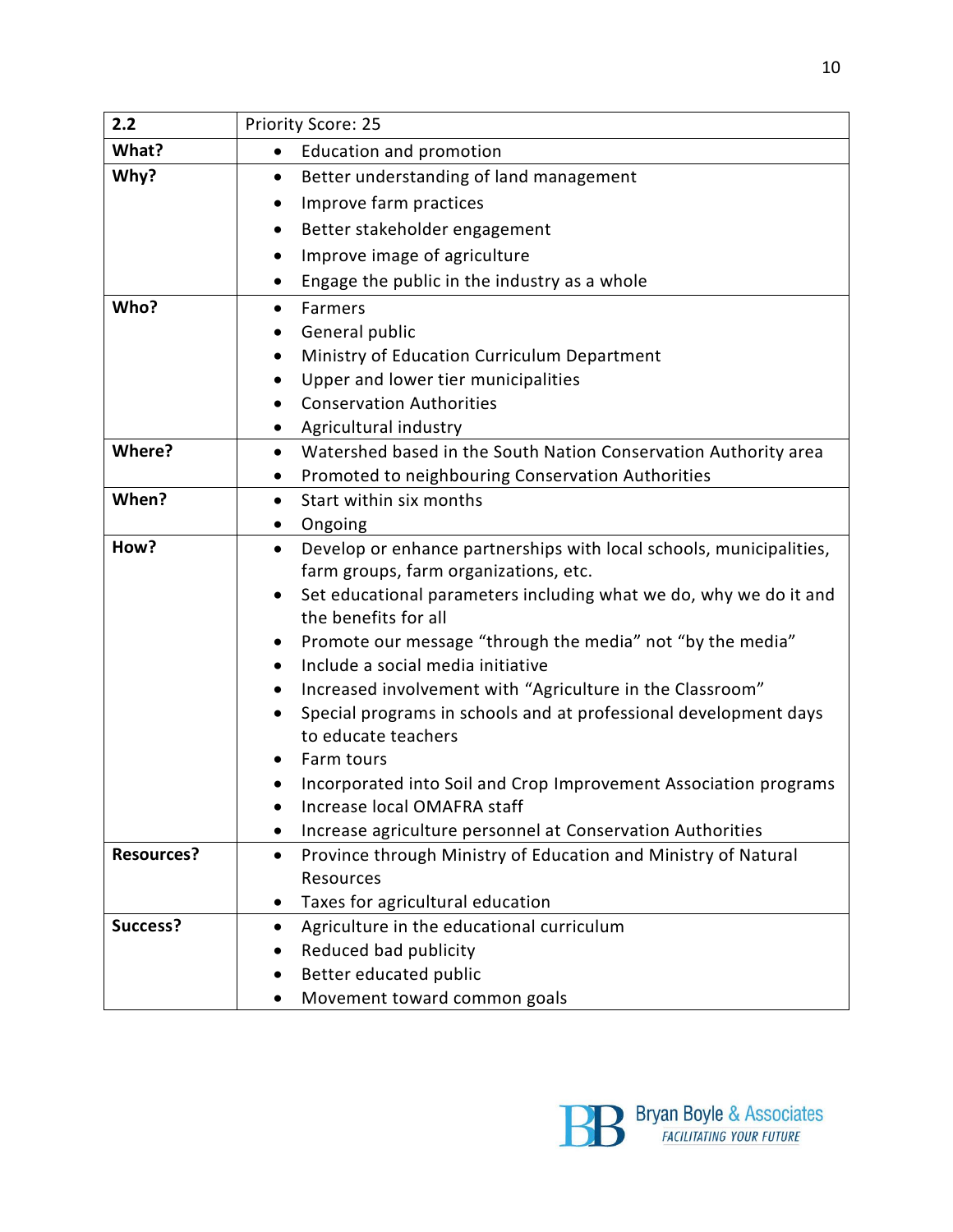| 2.2               | Priority Score: 25                                                                      |
|-------------------|-----------------------------------------------------------------------------------------|
| What?             | <b>Education and promotion</b><br>$\bullet$                                             |
| Why?              | Better understanding of land management<br>$\bullet$                                    |
|                   | Improve farm practices<br>$\bullet$                                                     |
|                   | Better stakeholder engagement<br>٠                                                      |
|                   | Improve image of agriculture<br>٠                                                       |
|                   | Engage the public in the industry as a whole<br>٠                                       |
| Who?              | Farmers<br>$\bullet$                                                                    |
|                   | General public                                                                          |
|                   | Ministry of Education Curriculum Department<br>٠                                        |
|                   | Upper and lower tier municipalities                                                     |
|                   | <b>Conservation Authorities</b><br>٠                                                    |
|                   | Agricultural industry<br>$\bullet$                                                      |
| Where?            | Watershed based in the South Nation Conservation Authority area<br>$\bullet$            |
|                   | Promoted to neighbouring Conservation Authorities<br>٠                                  |
| When?             | Start within six months<br>$\bullet$                                                    |
|                   | Ongoing<br>٠                                                                            |
| How?              | Develop or enhance partnerships with local schools, municipalities,<br>$\bullet$        |
|                   | farm groups, farm organizations, etc.                                                   |
|                   | Set educational parameters including what we do, why we do it and<br>٠                  |
|                   | the benefits for all                                                                    |
|                   | Promote our message "through the media" not "by the media"<br>٠                         |
|                   | Include a social media initiative<br>$\bullet$                                          |
|                   | Increased involvement with "Agriculture in the Classroom"<br>$\bullet$                  |
|                   | Special programs in schools and at professional development days<br>to educate teachers |
|                   | Farm tours                                                                              |
|                   | Incorporated into Soil and Crop Improvement Association programs                        |
|                   | Increase local OMAFRA staff                                                             |
|                   | Increase agriculture personnel at Conservation Authorities<br>٠                         |
| <b>Resources?</b> | Province through Ministry of Education and Ministry of Natural<br>$\bullet$             |
|                   | Resources                                                                               |
|                   | Taxes for agricultural education<br>$\bullet$                                           |
| Success?          | Agriculture in the educational curriculum<br>٠                                          |
|                   | Reduced bad publicity                                                                   |
|                   | Better educated public                                                                  |
|                   | Movement toward common goals                                                            |

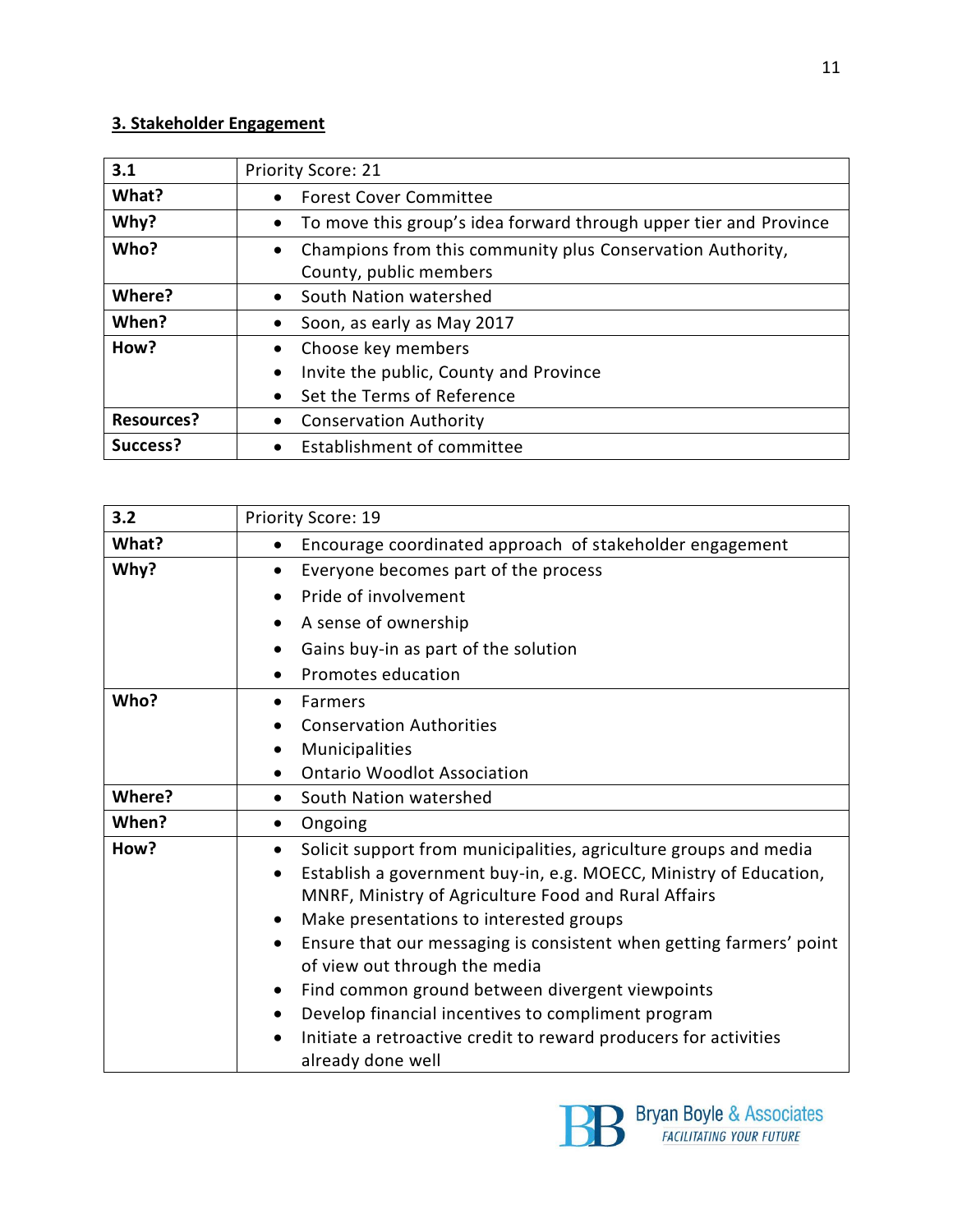#### **3. Stakeholder Engagement**

| 3.1               | <b>Priority Score: 21</b>                                                                         |
|-------------------|---------------------------------------------------------------------------------------------------|
| What?             | <b>Forest Cover Committee</b><br>$\bullet$                                                        |
| Why?              | To move this group's idea forward through upper tier and Province<br>$\bullet$                    |
| Who?              | Champions from this community plus Conservation Authority,<br>$\bullet$<br>County, public members |
| Where?            | South Nation watershed<br>$\bullet$                                                               |
| When?             | Soon, as early as May 2017<br>$\bullet$                                                           |
| How?              | Choose key members<br>$\bullet$                                                                   |
|                   | Invite the public, County and Province<br>$\bullet$                                               |
|                   | Set the Terms of Reference<br>$\bullet$                                                           |
| <b>Resources?</b> | <b>Conservation Authority</b><br>$\bullet$                                                        |
| Success?          | Establishment of committee<br>$\bullet$                                                           |

| 3.2    | Priority Score: 19                                                                                                                                                                                                                                                               |
|--------|----------------------------------------------------------------------------------------------------------------------------------------------------------------------------------------------------------------------------------------------------------------------------------|
| What?  | Encourage coordinated approach of stakeholder engagement<br>$\bullet$                                                                                                                                                                                                            |
| Why?   | Everyone becomes part of the process<br>$\bullet$                                                                                                                                                                                                                                |
|        | Pride of involvement                                                                                                                                                                                                                                                             |
|        | A sense of ownership<br>٠                                                                                                                                                                                                                                                        |
|        | Gains buy-in as part of the solution<br>٠                                                                                                                                                                                                                                        |
|        | Promotes education                                                                                                                                                                                                                                                               |
| Who?   | Farmers<br>٠                                                                                                                                                                                                                                                                     |
|        | <b>Conservation Authorities</b>                                                                                                                                                                                                                                                  |
|        | Municipalities<br>٠                                                                                                                                                                                                                                                              |
|        | <b>Ontario Woodlot Association</b>                                                                                                                                                                                                                                               |
| Where? | South Nation watershed<br>$\bullet$                                                                                                                                                                                                                                              |
| When?  | Ongoing<br>٠                                                                                                                                                                                                                                                                     |
| How?   | Solicit support from municipalities, agriculture groups and media<br>$\bullet$<br>Establish a government buy-in, e.g. MOECC, Ministry of Education,<br>$\bullet$<br>MNRF, Ministry of Agriculture Food and Rural Affairs<br>Make presentations to interested groups<br>$\bullet$ |
|        | Ensure that our messaging is consistent when getting farmers' point<br>$\bullet$<br>of view out through the media                                                                                                                                                                |
|        | Find common ground between divergent viewpoints<br>٠                                                                                                                                                                                                                             |
|        | Develop financial incentives to compliment program<br>$\bullet$                                                                                                                                                                                                                  |
|        | Initiate a retroactive credit to reward producers for activities<br>already done well                                                                                                                                                                                            |

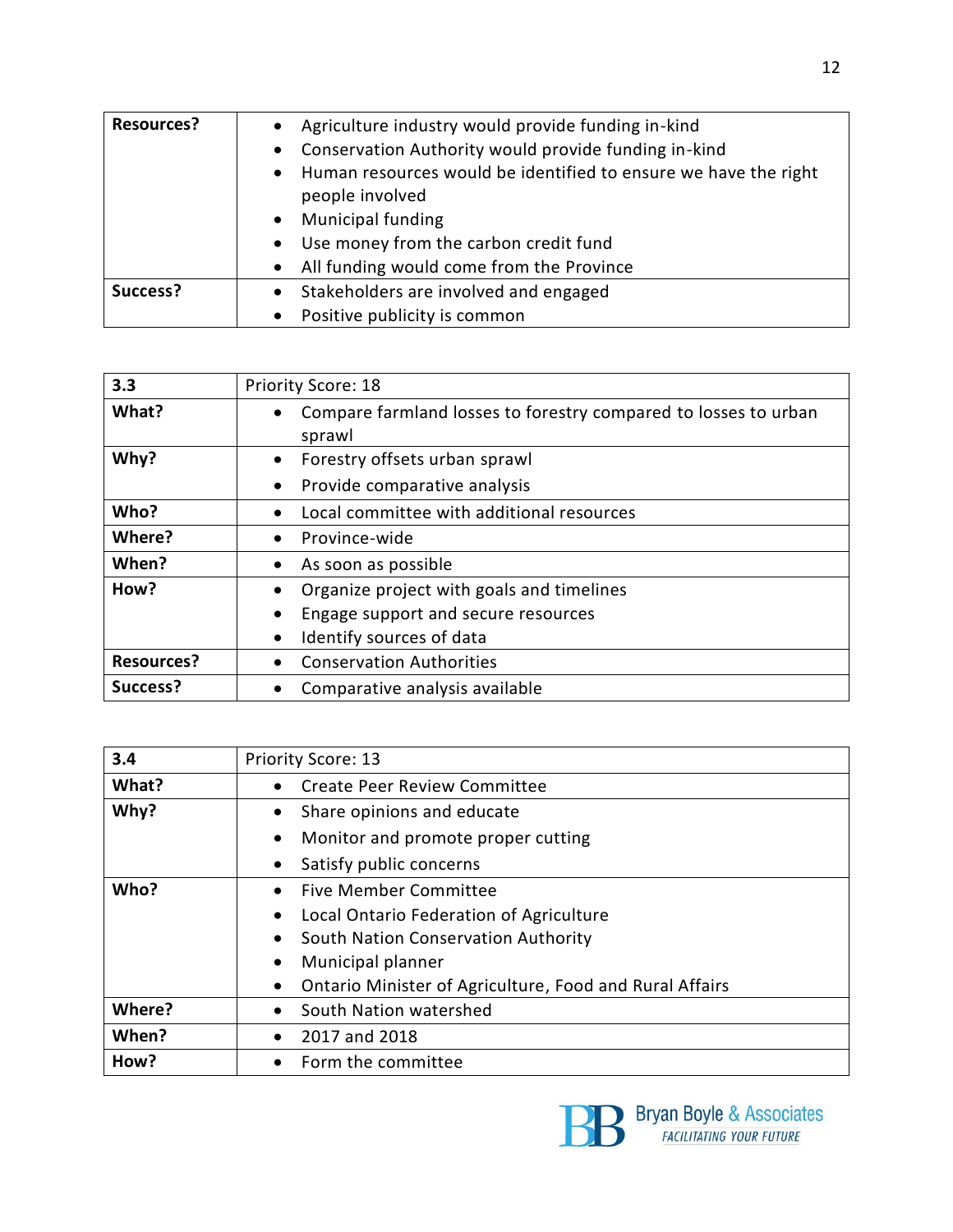| <b>Resources?</b> | • Agriculture industry would provide funding in-kind                                 |
|-------------------|--------------------------------------------------------------------------------------|
|                   | • Conservation Authority would provide funding in-kind                               |
|                   | • Human resources would be identified to ensure we have the right<br>people involved |
|                   | <b>Municipal funding</b><br>$\bullet$                                                |
|                   | • Use money from the carbon credit fund                                              |
|                   | • All funding would come from the Province                                           |
| Success?          | • Stakeholders are involved and engaged                                              |
|                   | Positive publicity is common<br>$\bullet$                                            |

| 3.3               | <b>Priority Score: 18</b>                                                    |
|-------------------|------------------------------------------------------------------------------|
| What?             | Compare farmland losses to forestry compared to losses to urban<br>$\bullet$ |
|                   | sprawl                                                                       |
| Why?              | Forestry offsets urban sprawl<br>$\bullet$                                   |
|                   | Provide comparative analysis<br>$\bullet$                                    |
| Who?              | Local committee with additional resources<br>$\bullet$                       |
| Where?            | Province-wide<br>$\bullet$                                                   |
| When?             | As soon as possible<br>$\bullet$                                             |
| How?              | Organize project with goals and timelines                                    |
|                   | Engage support and secure resources<br>$\bullet$                             |
|                   | Identify sources of data<br>$\bullet$                                        |
| <b>Resources?</b> | <b>Conservation Authorities</b><br>$\bullet$                                 |
| Success?          | Comparative analysis available<br>$\bullet$                                  |

| 3.4    | Priority Score: 13                                                   |
|--------|----------------------------------------------------------------------|
| What?  | Create Peer Review Committee<br>$\bullet$                            |
| Why?   | Share opinions and educate<br>$\bullet$                              |
|        | Monitor and promote proper cutting<br>$\bullet$                      |
|        | Satisfy public concerns<br>$\bullet$                                 |
| Who?   | <b>Five Member Committee</b><br>$\bullet$                            |
|        | Local Ontario Federation of Agriculture<br>$\bullet$                 |
|        | South Nation Conservation Authority<br>$\bullet$                     |
|        | Municipal planner<br>٠                                               |
|        | Ontario Minister of Agriculture, Food and Rural Affairs<br>$\bullet$ |
| Where? | South Nation watershed<br>$\bullet$                                  |
| When?  | 2017 and 2018<br>$\bullet$                                           |
| How?   | Form the committee<br>$\bullet$                                      |

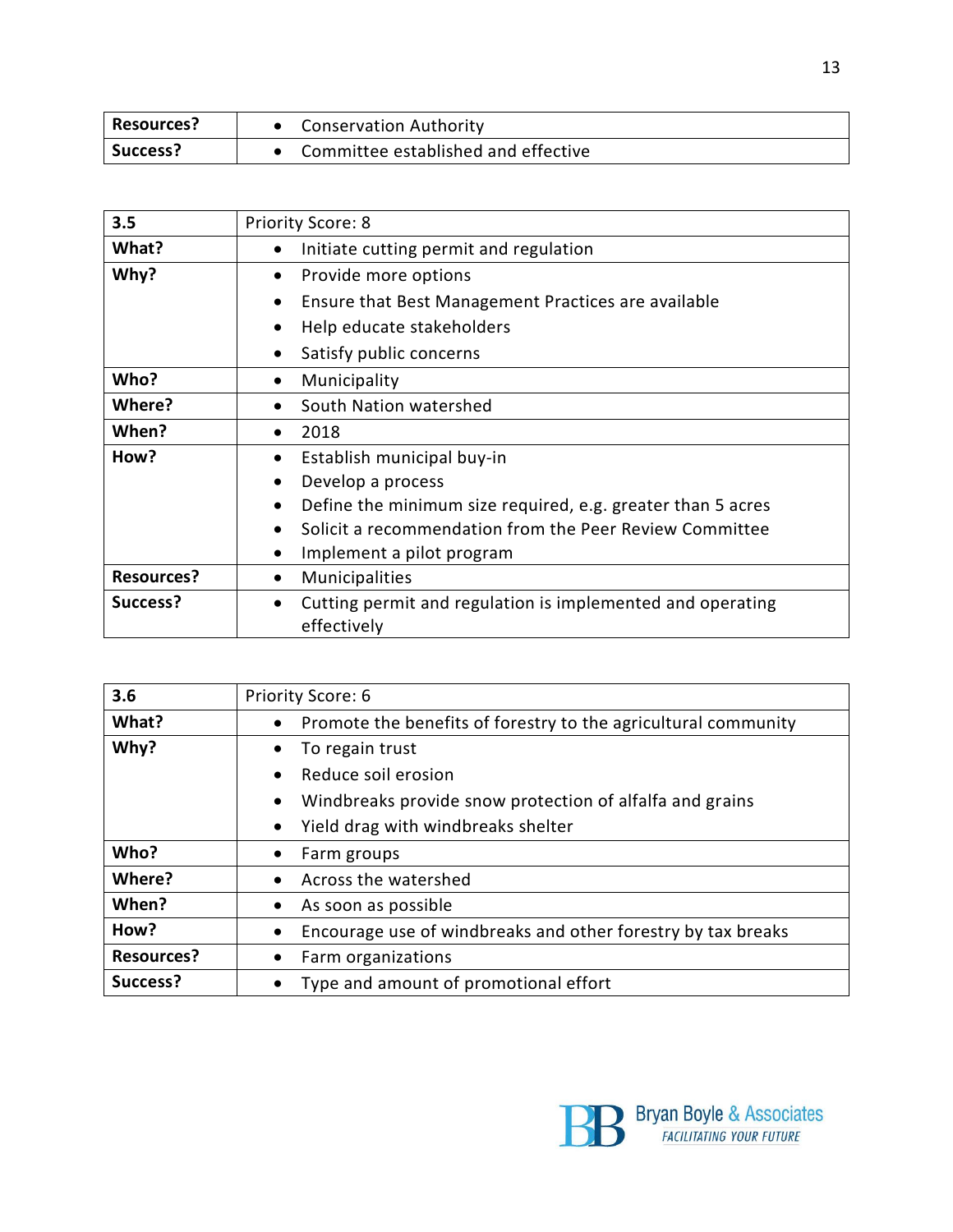| <b>Resources?</b> | <b>Conservation Authority</b>       |
|-------------------|-------------------------------------|
| Success?          | Committee established and effective |

| 3.5               | <b>Priority Score: 8</b>                                                               |
|-------------------|----------------------------------------------------------------------------------------|
| What?             | Initiate cutting permit and regulation<br>$\bullet$                                    |
| Why?              | Provide more options<br>$\bullet$                                                      |
|                   | Ensure that Best Management Practices are available<br>$\bullet$                       |
|                   | Help educate stakeholders<br>$\bullet$                                                 |
|                   | Satisfy public concerns<br>$\bullet$                                                   |
| Who?              | Municipality<br>٠                                                                      |
| Where?            | South Nation watershed<br>$\bullet$                                                    |
| When?             | 2018<br>$\bullet$                                                                      |
| How?              | Establish municipal buy-in<br>$\bullet$                                                |
|                   | Develop a process<br>$\bullet$                                                         |
|                   | Define the minimum size required, e.g. greater than 5 acres<br>٠                       |
|                   | Solicit a recommendation from the Peer Review Committee<br>$\bullet$                   |
|                   | Implement a pilot program<br>$\bullet$                                                 |
| <b>Resources?</b> | Municipalities<br>٠                                                                    |
| Success?          | Cutting permit and regulation is implemented and operating<br>$\bullet$<br>effectively |

| 3.6               | Priority Score: 6                                                     |
|-------------------|-----------------------------------------------------------------------|
| What?             | • Promote the benefits of forestry to the agricultural community      |
| Why?              | To regain trust<br>$\bullet$                                          |
|                   | Reduce soil erosion<br>$\bullet$                                      |
|                   | Windbreaks provide snow protection of alfalfa and grains<br>$\bullet$ |
|                   | Yield drag with windbreaks shelter<br>$\bullet$                       |
| Who?              | Farm groups                                                           |
| Where?            | Across the watershed                                                  |
| When?             | As soon as possible<br>٠                                              |
| How?              | Encourage use of windbreaks and other forestry by tax breaks<br>٠     |
| <b>Resources?</b> | Farm organizations<br>$\bullet$                                       |
| Success?          | Type and amount of promotional effort                                 |

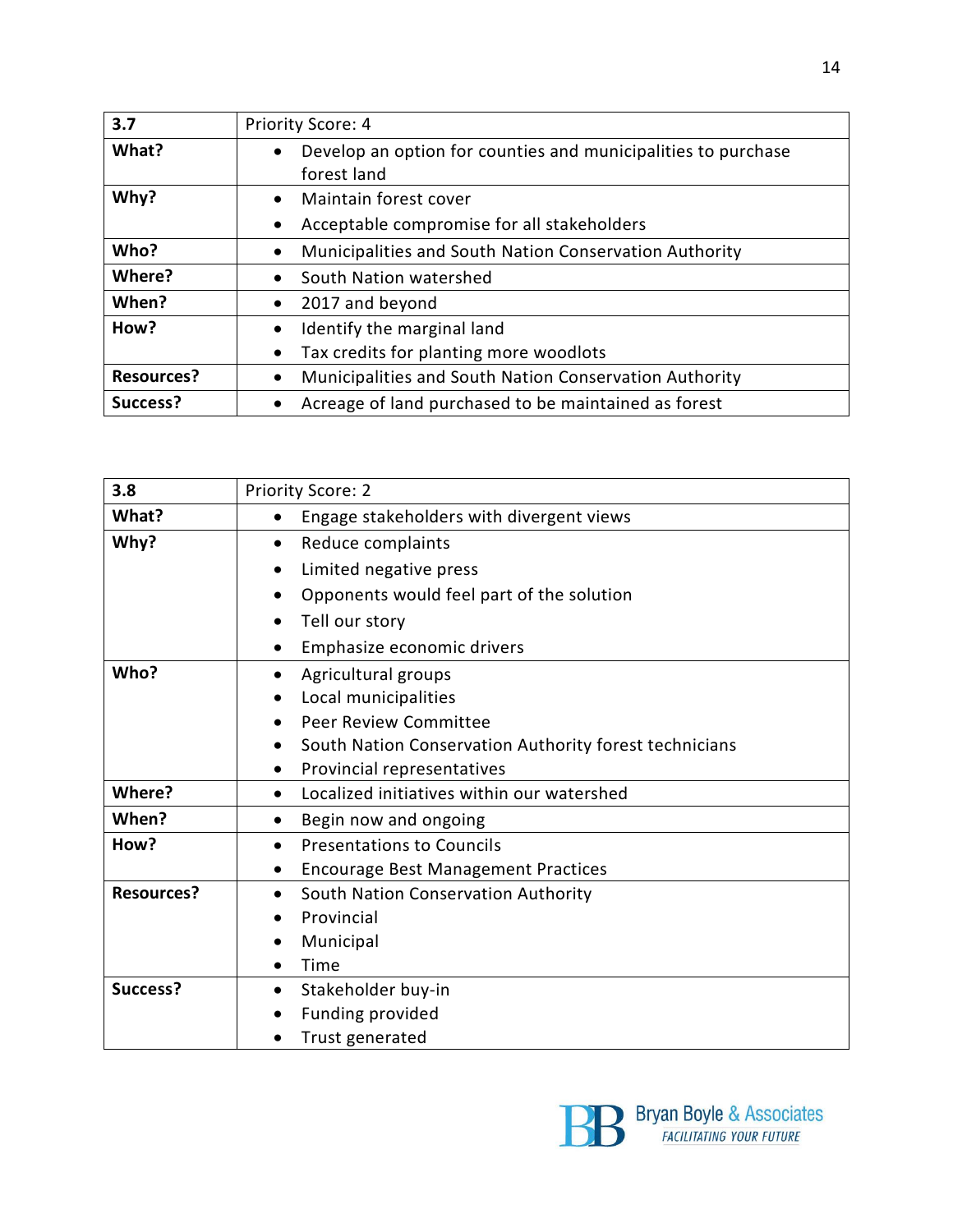| 3.7               | Priority Score: 4                                                          |
|-------------------|----------------------------------------------------------------------------|
| What?             | Develop an option for counties and municipalities to purchase<br>$\bullet$ |
|                   | forest land                                                                |
| Why?              | Maintain forest cover<br>$\bullet$                                         |
|                   | Acceptable compromise for all stakeholders<br>$\bullet$                    |
| Who?              | Municipalities and South Nation Conservation Authority<br>$\bullet$        |
| Where?            | South Nation watershed<br>$\bullet$                                        |
| When?             | 2017 and beyond<br>$\bullet$                                               |
| How?              | Identify the marginal land<br>$\bullet$                                    |
|                   | Tax credits for planting more woodlots<br>$\bullet$                        |
| <b>Resources?</b> | Municipalities and South Nation Conservation Authority<br>٠                |
| Success?          | Acreage of land purchased to be maintained as forest                       |

| 3.8               | <b>Priority Score: 2</b>                                            |
|-------------------|---------------------------------------------------------------------|
| What?             | Engage stakeholders with divergent views<br>$\bullet$               |
| Why?              | Reduce complaints<br>$\bullet$                                      |
|                   | Limited negative press<br>٠                                         |
|                   | Opponents would feel part of the solution<br>$\bullet$              |
|                   | Tell our story<br>$\bullet$                                         |
|                   | Emphasize economic drivers<br>$\bullet$                             |
| Who?              | Agricultural groups<br>$\bullet$                                    |
|                   | Local municipalities<br>$\bullet$                                   |
|                   | Peer Review Committee                                               |
|                   | South Nation Conservation Authority forest technicians<br>$\bullet$ |
|                   | Provincial representatives                                          |
| Where?            | Localized initiatives within our watershed<br>$\bullet$             |
| When?             | Begin now and ongoing<br>$\bullet$                                  |
| How?              | <b>Presentations to Councils</b><br>$\bullet$                       |
|                   | <b>Encourage Best Management Practices</b><br>٠                     |
| <b>Resources?</b> | South Nation Conservation Authority<br>٠                            |
|                   | Provincial                                                          |
|                   | Municipal                                                           |
|                   | Time                                                                |
| Success?          | Stakeholder buy-in<br>٠                                             |
|                   | Funding provided                                                    |
|                   | Trust generated                                                     |

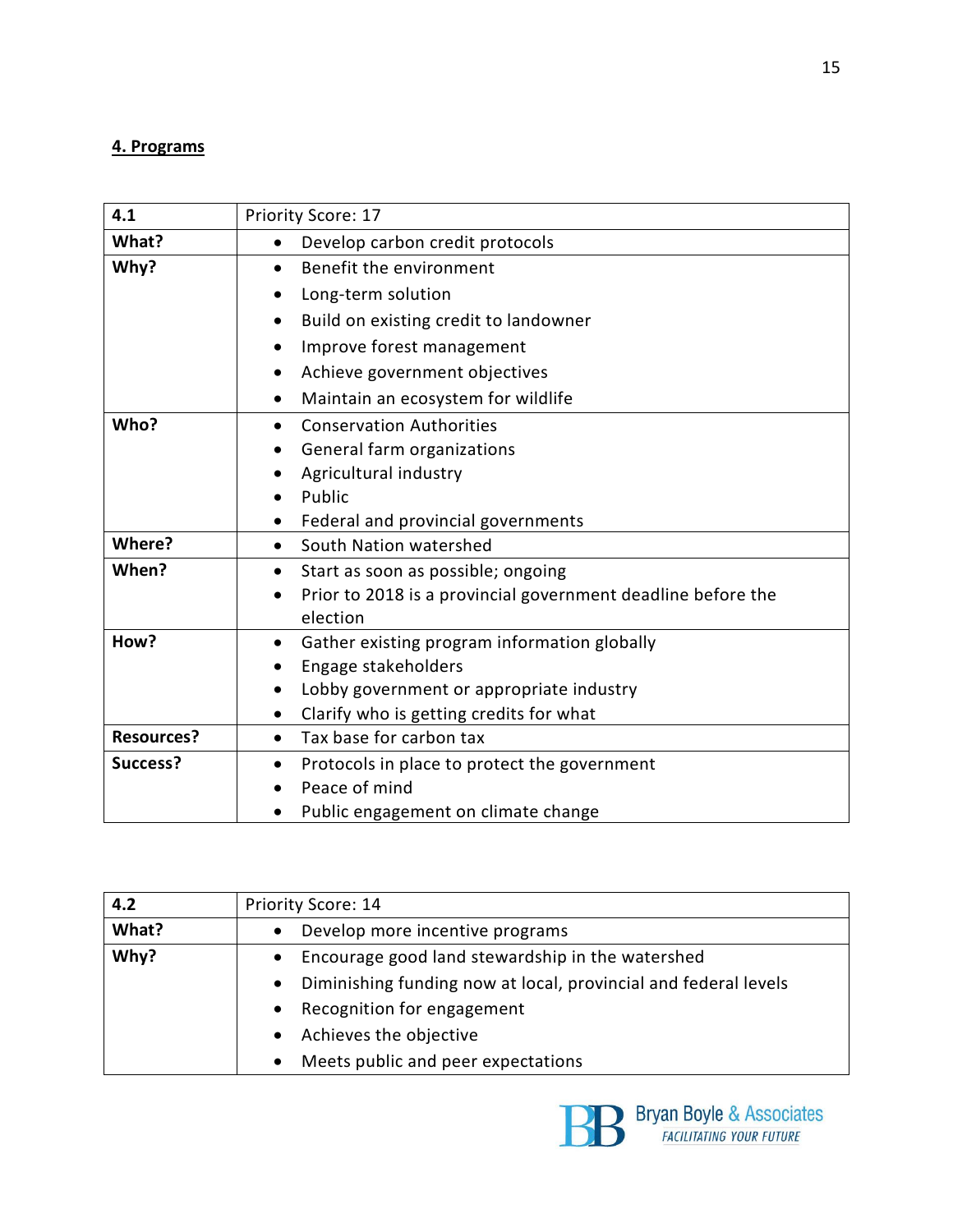#### **4. Programs**

| 4.1               | Priority Score: 17                                           |
|-------------------|--------------------------------------------------------------|
| What?             | Develop carbon credit protocols<br>$\bullet$                 |
| Why?              | Benefit the environment                                      |
|                   | Long-term solution                                           |
|                   | Build on existing credit to landowner<br>$\bullet$           |
|                   | Improve forest management<br>$\bullet$                       |
|                   | Achieve government objectives<br>$\bullet$                   |
|                   | Maintain an ecosystem for wildlife<br>$\bullet$              |
| Who?              | <b>Conservation Authorities</b><br>$\bullet$                 |
|                   | General farm organizations<br>٠                              |
|                   | Agricultural industry                                        |
|                   | Public                                                       |
|                   | Federal and provincial governments                           |
| Where?            | South Nation watershed<br>$\bullet$                          |
| When?             | Start as soon as possible; ongoing<br>٠                      |
|                   | Prior to 2018 is a provincial government deadline before the |
|                   | election                                                     |
| How?              | Gather existing program information globally<br>$\bullet$    |
|                   | Engage stakeholders<br>$\bullet$                             |
|                   | Lobby government or appropriate industry                     |
|                   | Clarify who is getting credits for what                      |
| <b>Resources?</b> | Tax base for carbon tax<br>$\bullet$                         |
| Success?          | Protocols in place to protect the government<br>$\bullet$    |
|                   | Peace of mind                                                |
|                   | Public engagement on climate change                          |

| 4.2   | Priority Score: 14                                                           |
|-------|------------------------------------------------------------------------------|
| What? | Develop more incentive programs                                              |
| Why?  | Encourage good land stewardship in the watershed                             |
|       | Diminishing funding now at local, provincial and federal levels<br>$\bullet$ |
|       | Recognition for engagement                                                   |
|       | Achieves the objective                                                       |
|       | Meets public and peer expectations                                           |

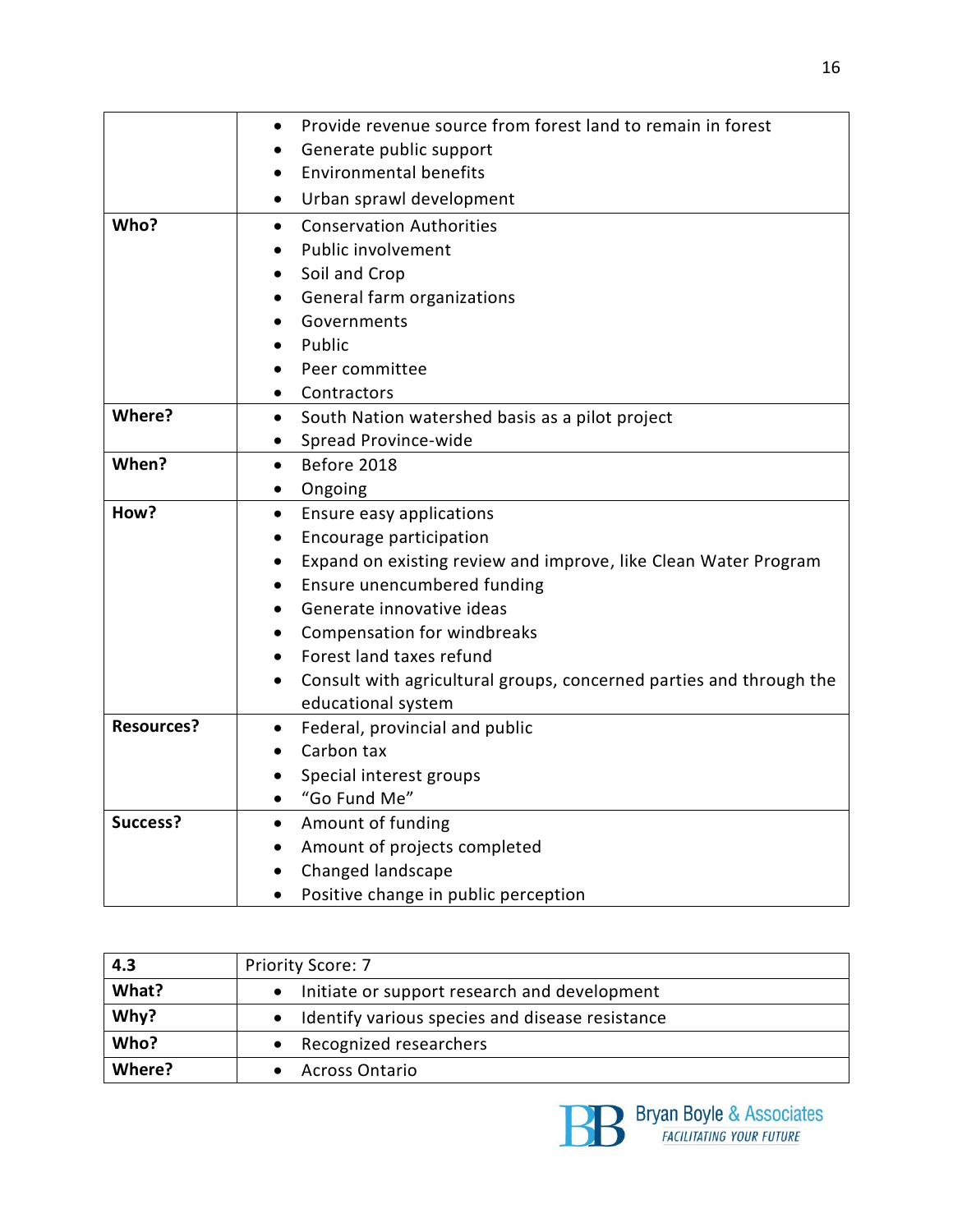|                   | Provide revenue source from forest land to remain in forest<br>$\bullet$         |
|-------------------|----------------------------------------------------------------------------------|
|                   | Generate public support                                                          |
|                   | <b>Environmental benefits</b><br>$\bullet$                                       |
|                   | Urban sprawl development<br>$\bullet$                                            |
| Who?              | <b>Conservation Authorities</b><br>$\bullet$                                     |
|                   | Public involvement<br>$\bullet$                                                  |
|                   | Soil and Crop<br>$\bullet$                                                       |
|                   | General farm organizations<br>$\bullet$                                          |
|                   | Governments<br>$\bullet$                                                         |
|                   | Public<br>$\bullet$                                                              |
|                   | Peer committee                                                                   |
|                   | Contractors<br>$\bullet$                                                         |
| Where?            | South Nation watershed basis as a pilot project<br>$\bullet$                     |
|                   | Spread Province-wide<br>$\bullet$                                                |
| When?             | Before 2018<br>$\bullet$                                                         |
|                   | Ongoing<br>$\bullet$                                                             |
| How?              | Ensure easy applications<br>$\bullet$                                            |
|                   | Encourage participation<br>$\bullet$                                             |
|                   | Expand on existing review and improve, like Clean Water Program<br>$\bullet$     |
|                   | Ensure unencumbered funding<br>$\bullet$                                         |
|                   | Generate innovative ideas<br>$\bullet$                                           |
|                   | Compensation for windbreaks<br>$\bullet$                                         |
|                   | Forest land taxes refund                                                         |
|                   | Consult with agricultural groups, concerned parties and through the<br>$\bullet$ |
|                   | educational system                                                               |
| <b>Resources?</b> | Federal, provincial and public<br>$\bullet$                                      |
|                   | Carbon tax                                                                       |
|                   | Special interest groups                                                          |
|                   | "Go Fund Me"<br>$\bullet$                                                        |
| Success?          | Amount of funding<br>$\bullet$                                                   |
|                   | Amount of projects completed<br>$\bullet$                                        |
|                   | Changed landscape                                                                |
|                   | Positive change in public perception                                             |

| 4.3    | <b>Priority Score: 7</b>                                  |
|--------|-----------------------------------------------------------|
| What?  | Initiate or support research and development<br>$\bullet$ |
| Why?   | • Identify various species and disease resistance         |
| Who?   | Recognized researchers                                    |
| Where? | <b>Across Ontario</b>                                     |

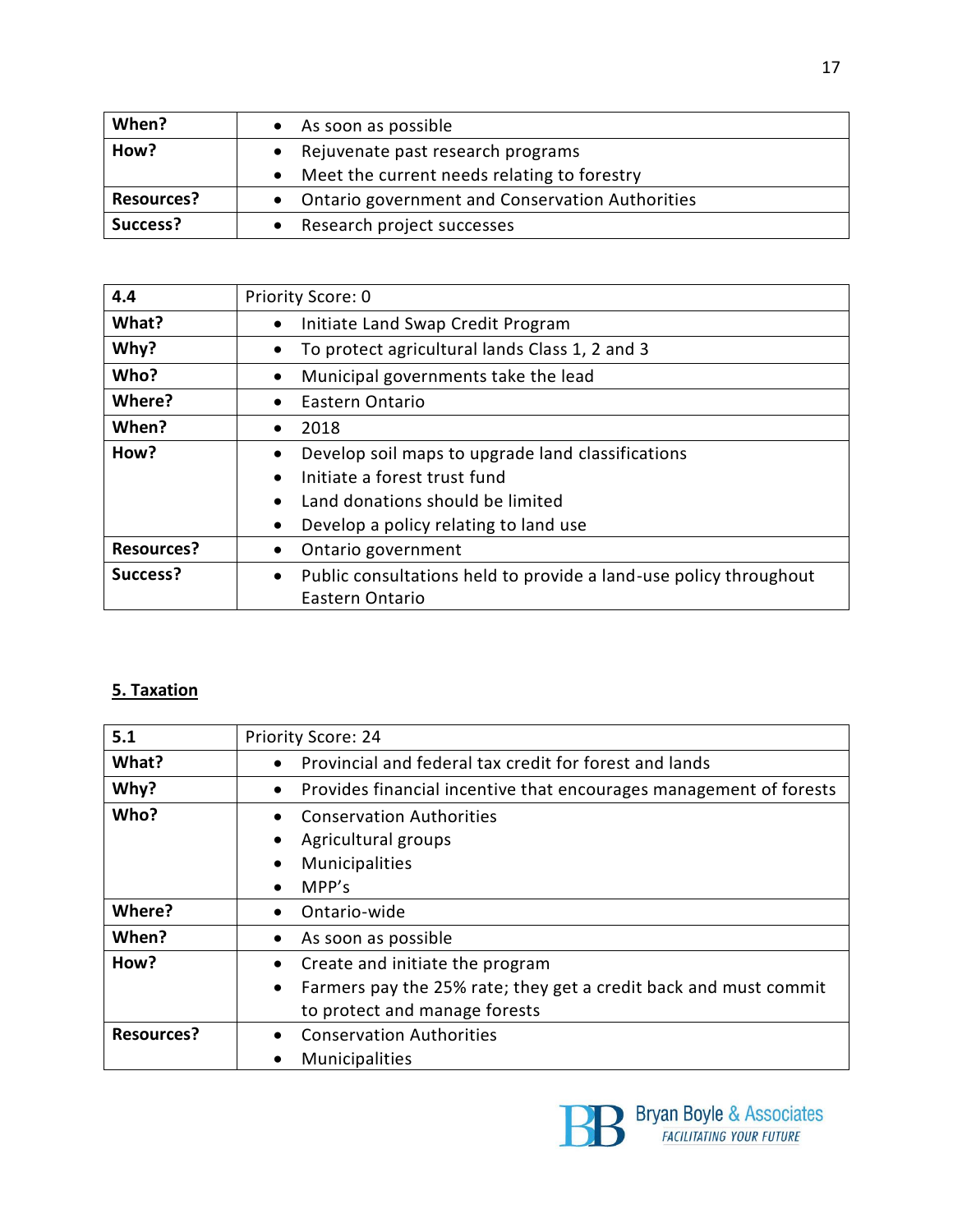| When?             | As soon as possible                               |
|-------------------|---------------------------------------------------|
| How?              | • Rejuvenate past research programs               |
|                   | Meet the current needs relating to forestry       |
| <b>Resources?</b> | • Ontario government and Conservation Authorities |
| Success?          | Research project successes                        |

| 4.4               | Priority Score: 0                                                              |
|-------------------|--------------------------------------------------------------------------------|
| What?             | Initiate Land Swap Credit Program<br>$\bullet$                                 |
| Why?              | To protect agricultural lands Class 1, 2 and 3<br>$\bullet$                    |
| Who?              | Municipal governments take the lead<br>$\bullet$                               |
| Where?            | Eastern Ontario<br>$\bullet$                                                   |
| When?             | 2018<br>$\bullet$                                                              |
| How?              | Develop soil maps to upgrade land classifications<br>$\bullet$                 |
|                   | Initiate a forest trust fund<br>$\bullet$                                      |
|                   | Land donations should be limited<br>$\bullet$                                  |
|                   | Develop a policy relating to land use<br>$\bullet$                             |
| <b>Resources?</b> | Ontario government<br>$\bullet$                                                |
| Success?          | Public consultations held to provide a land-use policy throughout<br>$\bullet$ |
|                   | Eastern Ontario                                                                |

#### **5. Taxation**

| 5.1               | <b>Priority Score: 24</b>                                                       |
|-------------------|---------------------------------------------------------------------------------|
| What?             | Provincial and federal tax credit for forest and lands<br>$\bullet$             |
| Why?              | Provides financial incentive that encourages management of forests<br>$\bullet$ |
| Who?              | <b>Conservation Authorities</b><br>$\bullet$                                    |
|                   | Agricultural groups<br>٠                                                        |
|                   | Municipalities<br>$\bullet$                                                     |
|                   | MPP's<br>$\bullet$                                                              |
| Where?            | Ontario-wide<br>$\bullet$                                                       |
| When?             | As soon as possible<br>٠                                                        |
| How?              | Create and initiate the program<br>٠                                            |
|                   | Farmers pay the 25% rate; they get a credit back and must commit<br>$\bullet$   |
|                   | to protect and manage forests                                                   |
| <b>Resources?</b> | <b>Conservation Authorities</b><br>$\bullet$                                    |
|                   | <b>Municipalities</b><br>$\bullet$                                              |

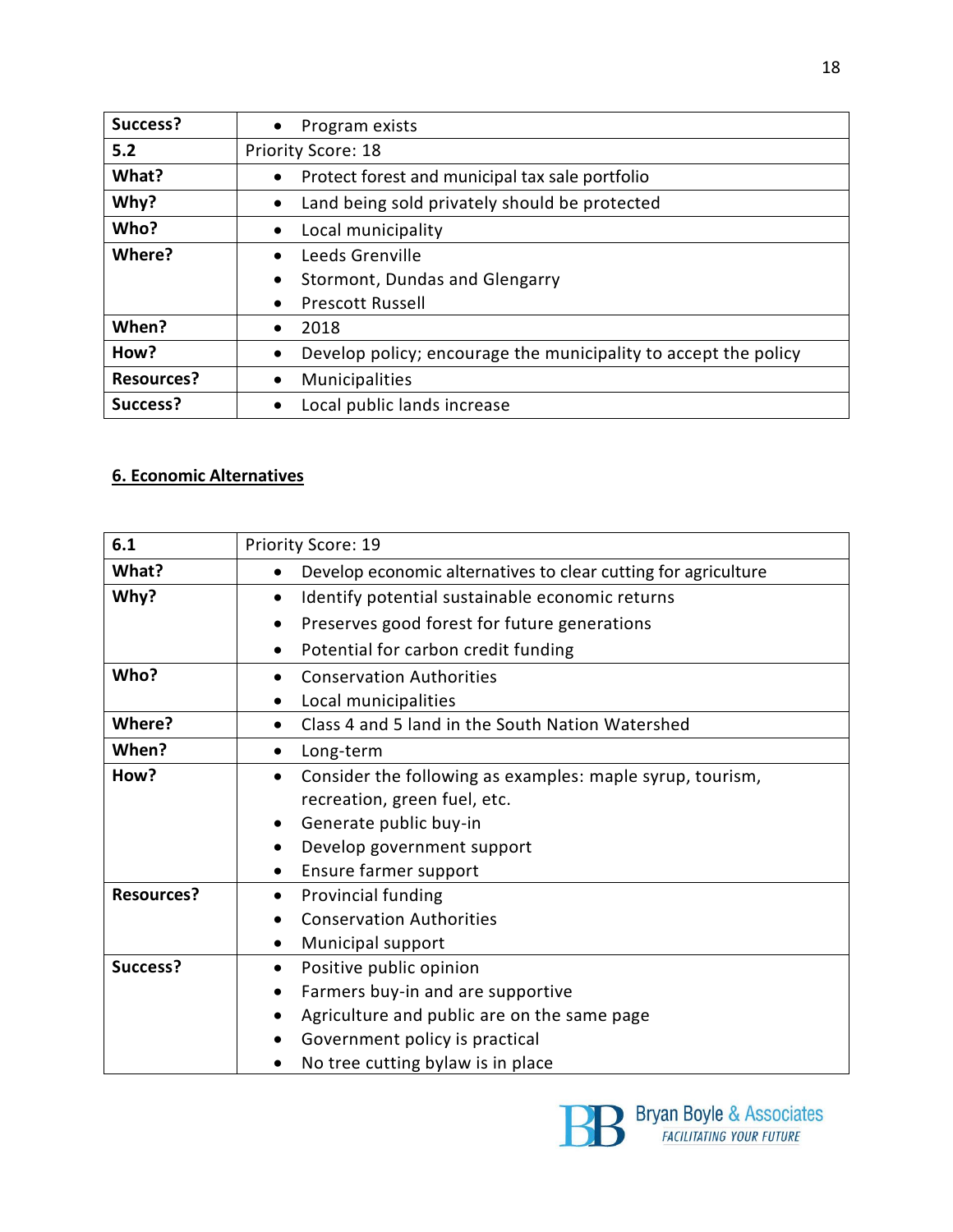| Success?          | Program exists<br>$\bullet$                                                  |
|-------------------|------------------------------------------------------------------------------|
| 5.2               | <b>Priority Score: 18</b>                                                    |
| What?             | Protect forest and municipal tax sale portfolio<br>$\bullet$                 |
| Why?              | Land being sold privately should be protected<br>$\bullet$                   |
| Who?              | Local municipality<br>$\bullet$                                              |
| Where?            | Leeds Grenville<br>$\bullet$                                                 |
|                   | Stormont, Dundas and Glengarry<br>$\bullet$                                  |
|                   | <b>Prescott Russell</b><br>$\bullet$                                         |
| When?             | 2018<br>$\bullet$                                                            |
| How?              | Develop policy; encourage the municipality to accept the policy<br>$\bullet$ |
| <b>Resources?</b> | Municipalities<br>٠                                                          |
| Success?          | Local public lands increase                                                  |

#### **6. Economic Alternatives**

| 6.1               | Priority Score: 19                                                          |
|-------------------|-----------------------------------------------------------------------------|
| What?             | Develop economic alternatives to clear cutting for agriculture<br>$\bullet$ |
| Why?              | Identify potential sustainable economic returns<br>$\bullet$                |
|                   | Preserves good forest for future generations<br>$\bullet$                   |
|                   | Potential for carbon credit funding<br>$\bullet$                            |
| Who?              | <b>Conservation Authorities</b>                                             |
|                   | Local municipalities                                                        |
| Where?            | Class 4 and 5 land in the South Nation Watershed<br>$\bullet$               |
| When?             | Long-term<br>$\bullet$                                                      |
| How?              | Consider the following as examples: maple syrup, tourism,<br>$\bullet$      |
|                   | recreation, green fuel, etc.                                                |
|                   | Generate public buy-in<br>$\bullet$                                         |
|                   | Develop government support<br>$\bullet$                                     |
|                   | Ensure farmer support<br>$\bullet$                                          |
| <b>Resources?</b> | Provincial funding<br>$\bullet$                                             |
|                   | <b>Conservation Authorities</b>                                             |
|                   | Municipal support<br>$\bullet$                                              |
| Success?          | Positive public opinion<br>٠                                                |
|                   | Farmers buy-in and are supportive<br>$\bullet$                              |
|                   | Agriculture and public are on the same page                                 |
|                   | Government policy is practical                                              |
|                   | No tree cutting bylaw is in place                                           |

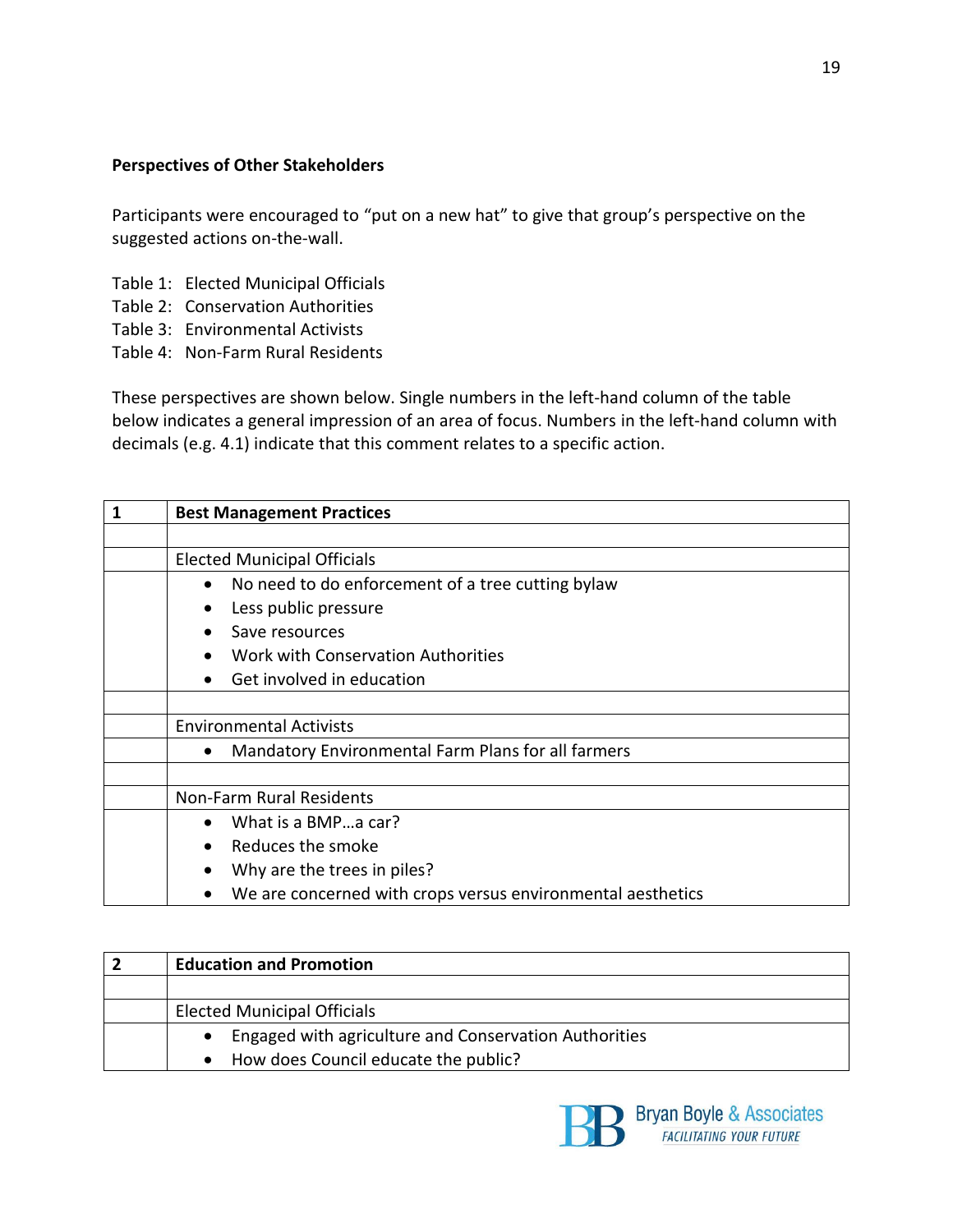#### **Perspectives of Other Stakeholders**

Participants were encouraged to "put on a new hat" to give that group's perspective on the suggested actions on-the-wall.

- Table 1: Elected Municipal Officials
- Table 2: Conservation Authorities
- Table 3: Environmental Activists
- Table 4: Non-Farm Rural Residents

These perspectives are shown below. Single numbers in the left-hand column of the table below indicates a general impression of an area of focus. Numbers in the left-hand column with decimals (e.g. 4.1) indicate that this comment relates to a specific action.

| 1 | <b>Best Management Practices</b>                                |  |
|---|-----------------------------------------------------------------|--|
|   |                                                                 |  |
|   | <b>Elected Municipal Officials</b>                              |  |
|   | No need to do enforcement of a tree cutting bylaw<br>$\bullet$  |  |
|   | Less public pressure<br>$\bullet$                               |  |
|   | Save resources                                                  |  |
|   | Work with Conservation Authorities                              |  |
|   | Get involved in education                                       |  |
|   |                                                                 |  |
|   | <b>Environmental Activists</b>                                  |  |
|   | Mandatory Environmental Farm Plans for all farmers<br>$\bullet$ |  |
|   |                                                                 |  |
|   | Non-Farm Rural Residents                                        |  |
|   | What is a BMPa car?                                             |  |
|   | Reduces the smoke<br>$\bullet$                                  |  |
|   | Why are the trees in piles?                                     |  |
|   | We are concerned with crops versus environmental aesthetics     |  |

| <b>Education and Promotion</b>                                     |
|--------------------------------------------------------------------|
|                                                                    |
| <b>Elected Municipal Officials</b>                                 |
| Engaged with agriculture and Conservation Authorities<br>$\bullet$ |
| How does Council educate the public?                               |

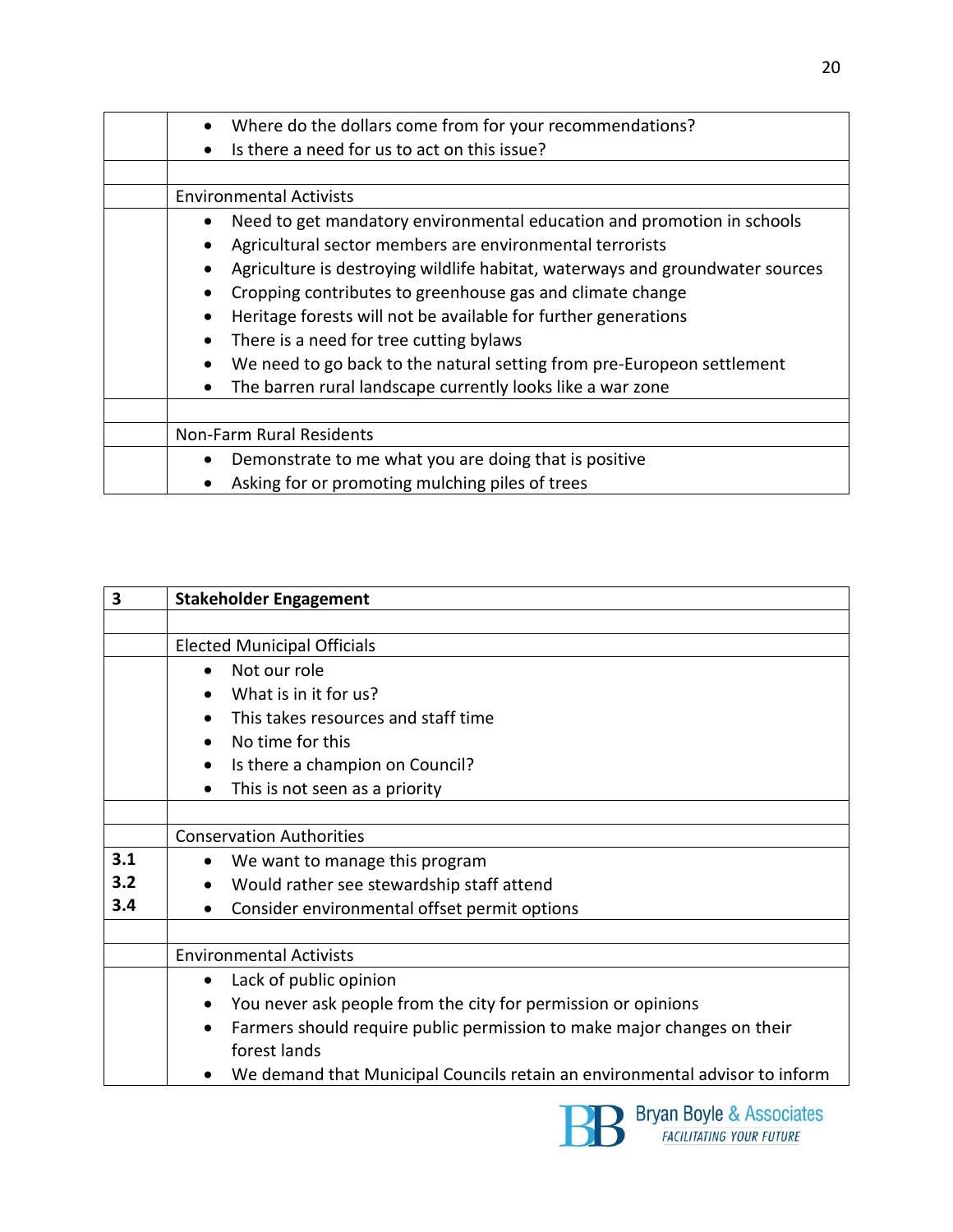| $\bullet$ | Where do the dollars come from for your recommendations?                      |
|-----------|-------------------------------------------------------------------------------|
| $\bullet$ | Is there a need for us to act on this issue?                                  |
|           |                                                                               |
|           | <b>Environmental Activists</b>                                                |
|           | Need to get mandatory environmental education and promotion in schools        |
| $\bullet$ | Agricultural sector members are environmental terrorists                      |
| $\bullet$ | Agriculture is destroying wildlife habitat, waterways and groundwater sources |
| $\bullet$ | Cropping contributes to greenhouse gas and climate change                     |
| $\bullet$ | Heritage forests will not be available for further generations                |
|           | There is a need for tree cutting bylaws                                       |
| $\bullet$ | We need to go back to the natural setting from pre-Europeon settlement        |
| $\bullet$ | The barren rural landscape currently looks like a war zone                    |
|           |                                                                               |
|           | Non-Farm Rural Residents                                                      |
| $\bullet$ | Demonstrate to me what you are doing that is positive                         |
|           | Asking for or promoting mulching piles of trees                               |

| 3   | <b>Stakeholder Engagement</b>                                                        |
|-----|--------------------------------------------------------------------------------------|
|     |                                                                                      |
|     | <b>Elected Municipal Officials</b>                                                   |
|     | Not our role<br>$\bullet$                                                            |
|     | What is in it for us?                                                                |
|     | This takes resources and staff time                                                  |
|     | No time for this<br>$\bullet$                                                        |
|     | Is there a champion on Council?<br>$\bullet$                                         |
|     | This is not seen as a priority<br>$\bullet$                                          |
|     |                                                                                      |
|     | <b>Conservation Authorities</b>                                                      |
| 3.1 | We want to manage this program<br>٠                                                  |
| 3.2 | Would rather see stewardship staff attend                                            |
| 3.4 | Consider environmental offset permit options                                         |
|     |                                                                                      |
|     | <b>Environmental Activists</b>                                                       |
|     | Lack of public opinion<br>$\bullet$                                                  |
|     | You never ask people from the city for permission or opinions<br>$\bullet$           |
|     | Farmers should require public permission to make major changes on their<br>$\bullet$ |
|     | forest lands                                                                         |
|     | We demand that Municipal Councils retain an environmental advisor to inform          |

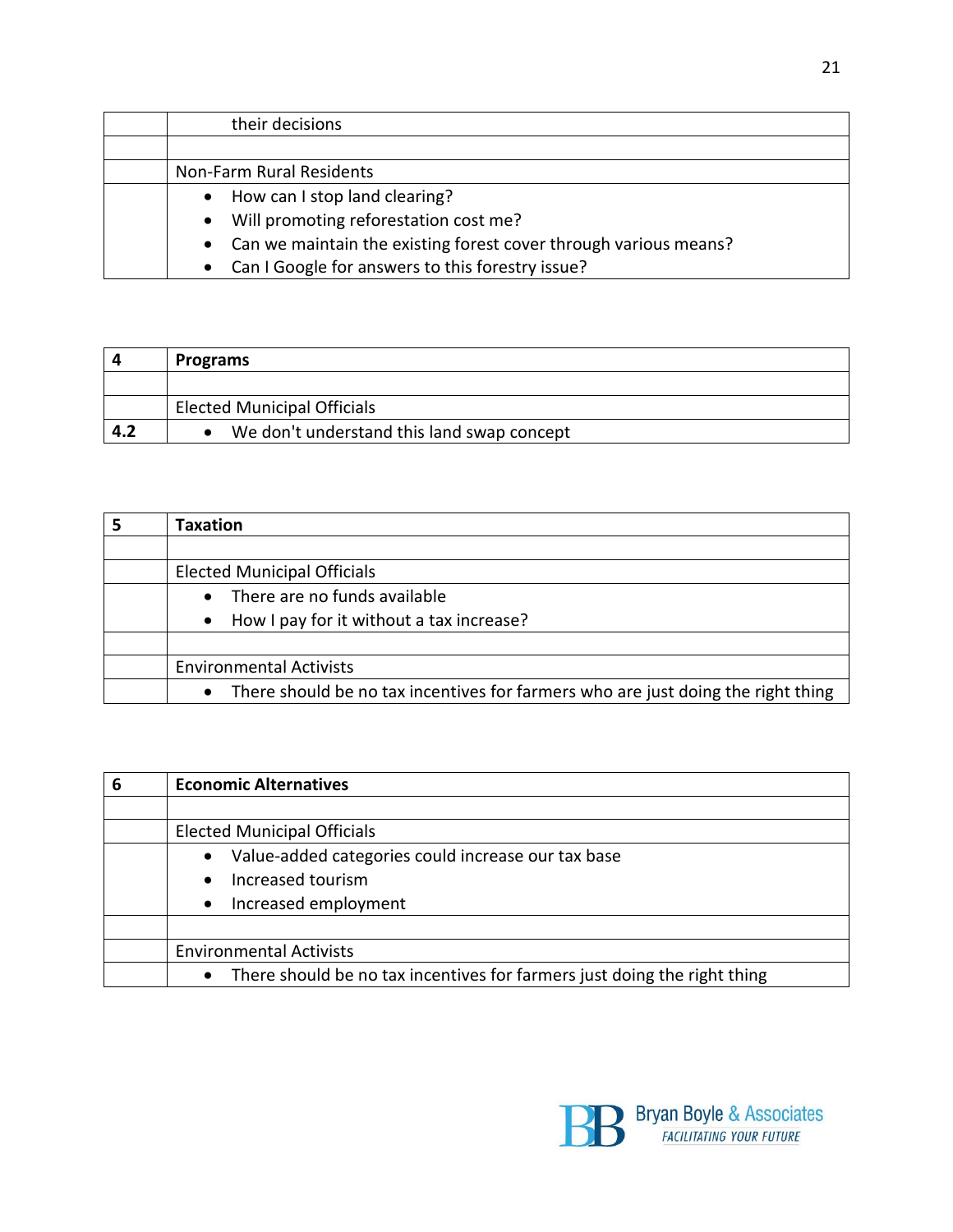| their decisions                                                               |
|-------------------------------------------------------------------------------|
|                                                                               |
| Non-Farm Rural Residents                                                      |
| How can I stop land clearing?<br>$\bullet$                                    |
| Will promoting reforestation cost me?<br>$\bullet$                            |
| Can we maintain the existing forest cover through various means?<br>$\bullet$ |
| Can I Google for answers to this forestry issue?<br>$\bullet$                 |

|     | <b>Programs</b>                            |
|-----|--------------------------------------------|
|     |                                            |
|     | <b>Elected Municipal Officials</b>         |
| 4.2 | We don't understand this land swap concept |

| <b>Taxation</b>                                                                  |
|----------------------------------------------------------------------------------|
|                                                                                  |
| <b>Elected Municipal Officials</b>                                               |
| There are no funds available                                                     |
| How I pay for it without a tax increase?<br>$\bullet$                            |
|                                                                                  |
| <b>Environmental Activists</b>                                                   |
| There should be no tax incentives for farmers who are just doing the right thing |

| 6 | <b>Economic Alternatives</b>                                                          |
|---|---------------------------------------------------------------------------------------|
|   |                                                                                       |
|   | <b>Elected Municipal Officials</b>                                                    |
|   | Value-added categories could increase our tax base<br>$\bullet$                       |
|   | Increased tourism<br>$\bullet$                                                        |
|   | Increased employment<br>$\bullet$                                                     |
|   |                                                                                       |
|   | <b>Environmental Activists</b>                                                        |
|   | There should be no tax incentives for farmers just doing the right thing<br>$\bullet$ |

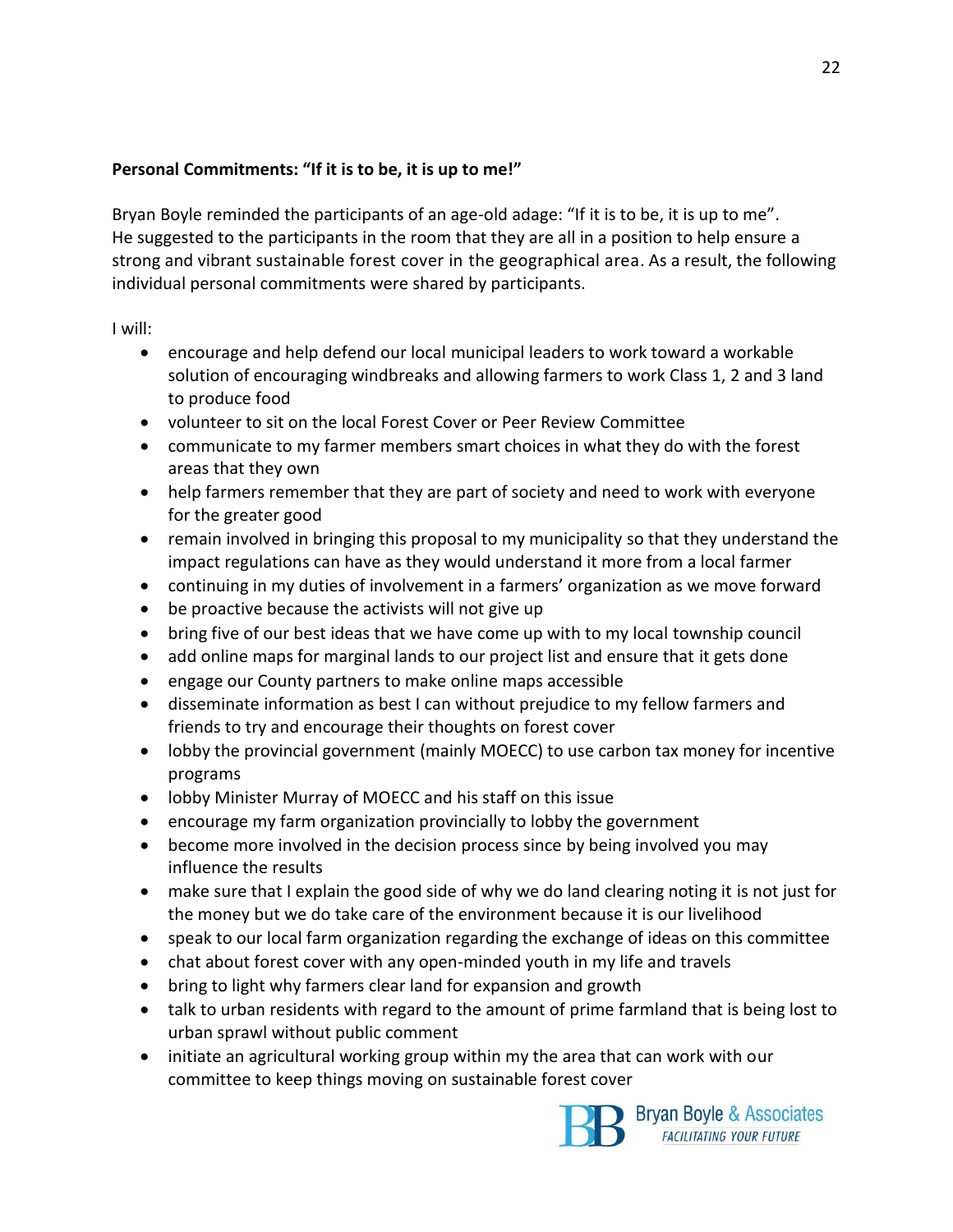#### **Personal Commitments: "If it is to be, it is up to me!"**

Bryan Boyle reminded the participants of an age-old adage: "If it is to be, it is up to me". He suggested to the participants in the room that they are all in a position to help ensure a strong and vibrant sustainable forest cover in the geographical area. As a result, the following individual personal commitments were shared by participants.

I will:

- encourage and help defend our local municipal leaders to work toward a workable solution of encouraging windbreaks and allowing farmers to work Class 1, 2 and 3 land to produce food
- volunteer to sit on the local Forest Cover or Peer Review Committee
- communicate to my farmer members smart choices in what they do with the forest areas that they own
- help farmers remember that they are part of society and need to work with everyone for the greater good
- remain involved in bringing this proposal to my municipality so that they understand the impact regulations can have as they would understand it more from a local farmer
- continuing in my duties of involvement in a farmers' organization as we move forward
- be proactive because the activists will not give up
- bring five of our best ideas that we have come up with to my local township council
- add online maps for marginal lands to our project list and ensure that it gets done
- engage our County partners to make online maps accessible
- disseminate information as best I can without prejudice to my fellow farmers and friends to try and encourage their thoughts on forest cover
- lobby the provincial government (mainly MOECC) to use carbon tax money for incentive programs
- lobby Minister Murray of MOECC and his staff on this issue
- encourage my farm organization provincially to lobby the government
- become more involved in the decision process since by being involved you may influence the results
- make sure that I explain the good side of why we do land clearing noting it is not just for the money but we do take care of the environment because it is our livelihood
- speak to our local farm organization regarding the exchange of ideas on this committee
- chat about forest cover with any open-minded youth in my life and travels
- bring to light why farmers clear land for expansion and growth
- talk to urban residents with regard to the amount of prime farmland that is being lost to urban sprawl without public comment
- initiate an agricultural working group within my the area that can work with our committee to keep things moving on sustainable forest cover



Bryan Boyle & Associates **FACILITATING YOUR FUTURE**